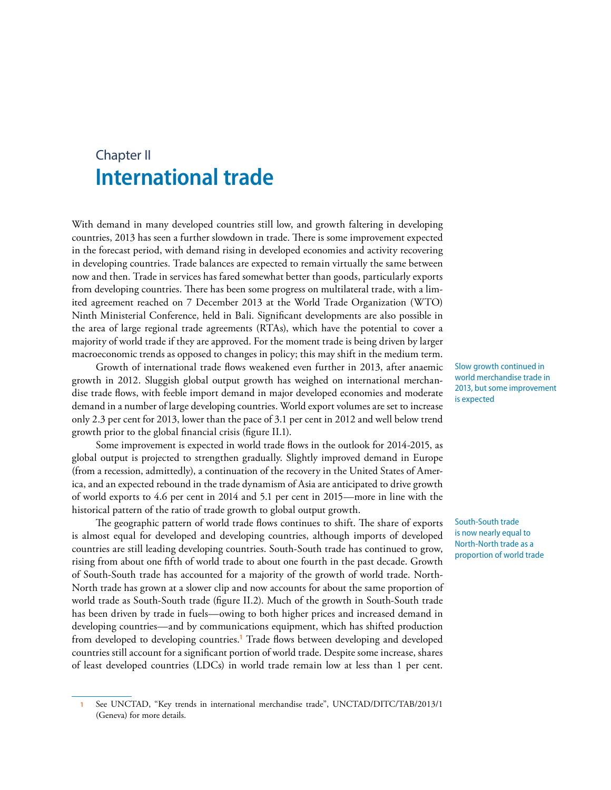# Chapter II **International trade**

With demand in many developed countries still low, and growth faltering in developing countries, 2013 has seen a further slowdown in trade. There is some improvement expected in the forecast period, with demand rising in developed economies and activity recovering in developing countries. Trade balances are expected to remain virtually the same between now and then. Trade in services has fared somewhat better than goods, particularly exports from developing countries. There has been some progress on multilateral trade, with a limited agreement reached on 7 December 2013 at the World Trade Organization (WTO) Ninth Ministerial Conference, held in Bali. Significant developments are also possible in the area of large regional trade agreements (RTAs), which have the potential to cover a majority of world trade if they are approved. For the moment trade is being driven by larger macroeconomic trends as opposed to changes in policy; this may shift in the medium term.

Growth of international trade flows weakened even further in 2013, after anaemic growth in 2012. Sluggish global output growth has weighed on international merchandise trade flows, with feeble import demand in major developed economies and moderate demand in a number of large developing countries. World export volumes are set to increase only 2.3 per cent for 2013, lower than the pace of 3.1 per cent in 2012 and well below trend growth prior to the global financial crisis (figure II.1).

Some improvement is expected in world trade flows in the outlook for 2014-2015, as global output is projected to strengthen gradually. Slightly improved demand in Europe (from a recession, admittedly), a continuation of the recovery in the United States of America, and an expected rebound in the trade dynamism of Asia are anticipated to drive growth of world exports to 4.6 per cent in 2014 and 5.1 per cent in 2015—more in line with the historical pattern of the ratio of trade growth to global output growth.

The geographic pattern of world trade flows continues to shift. The share of exports is almost equal for developed and developing countries, although imports of developed countries are still leading developing countries. South-South trade has continued to grow, rising from about one fifth of world trade to about one fourth in the past decade. Growth of South-South trade has accounted for a majority of the growth of world trade. North-North trade has grown at a slower clip and now accounts for about the same proportion of world trade as South-South trade (figure II.2). Much of the growth in South-South trade has been driven by trade in fuels—owing to both higher prices and increased demand in developing countries—and by communications equipment, which has shifted production from developed to developing countries.**<sup>1</sup>** Trade flows between developing and developed countries still account for a significant portion of world trade. Despite some increase, shares of least developed countries (LDCs) in world trade remain low at less than 1 per cent.

Slow growth continued in world merchandise trade in 2013, but some improvement is expected

South-South trade is now nearly equal to North-North trade as a proportion of world trade

**<sup>1</sup>** See UNCTAD, "Key trends in international merchandise trade", UNCTAD/DITC/TAB/2013/1 (Geneva) for more details.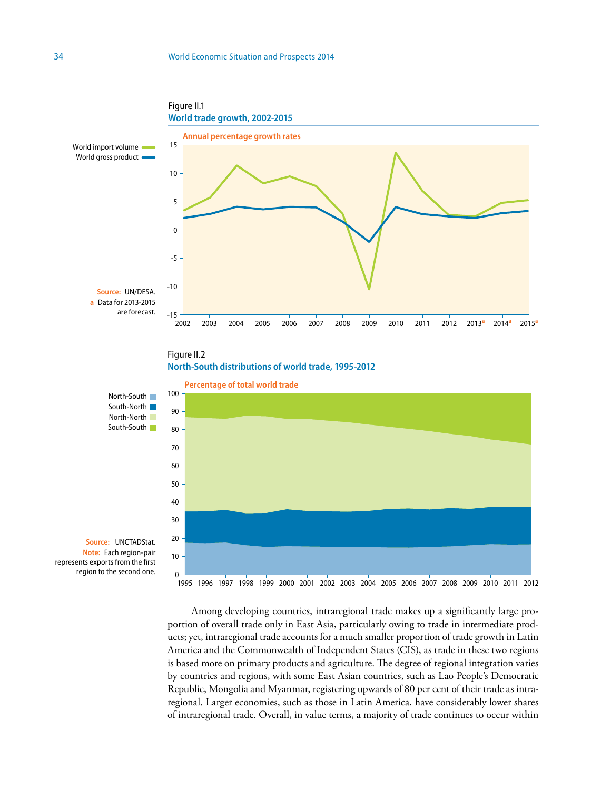

Figure II.2 **North-South distributions of world trade, 1995-2012**



Among developing countries, intraregional trade makes up a significantly large proportion of overall trade only in East Asia, particularly owing to trade in intermediate products; yet, intraregional trade accounts for a much smaller proportion of trade growth in Latin America and the Commonwealth of Independent States (CIS), as trade in these two regions is based more on primary products and agriculture. The degree of regional integration varies by countries and regions, with some East Asian countries, such as Lao People's Democratic Republic, Mongolia and Myanmar, registering upwards of 80 per cent of their trade as intraregional. Larger economies, such as those in Latin America, have considerably lower shares of intraregional trade. Overall, in value terms, a majority of trade continues to occur within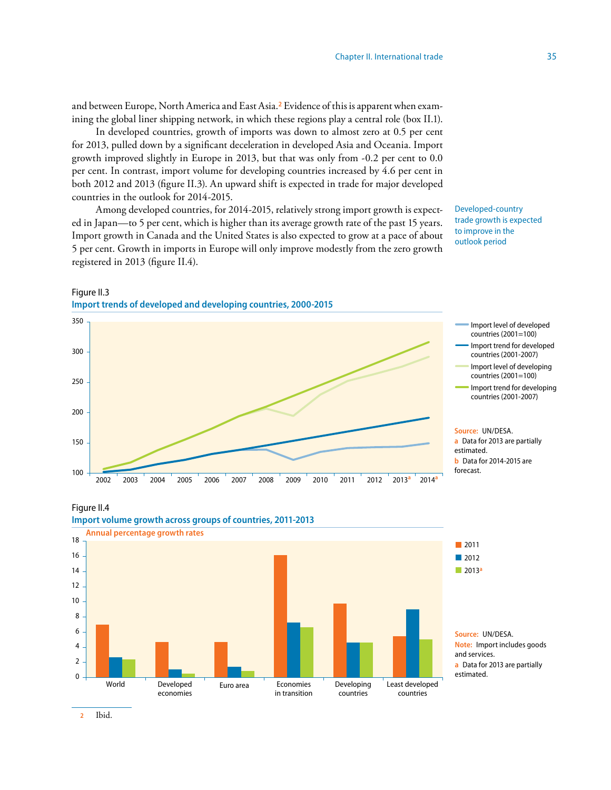and between Europe, North America and East Asia.**2** Evidence of this is apparent when examining the global liner shipping network, in which these regions play a central role (box II.1).

In developed countries, growth of imports was down to almost zero at 0.5 per cent for 2013, pulled down by a significant deceleration in developed Asia and Oceania. Import growth improved slightly in Europe in 2013, but that was only from -0.2 per cent to 0.0 per cent. In contrast, import volume for developing countries increased by 4.6 per cent in both 2012 and 2013 (figure II.3). An upward shift is expected in trade for major developed countries in the outlook for 2014-2015.

Among developed countries, for 2014-2015, relatively strong import growth is expected in Japan—to 5 per cent, which is higher than its average growth rate of the past 15 years. Import growth in Canada and the United States is also expected to grow at a pace of about 5 per cent. Growth in imports in Europe will only improve modestly from the zero growth registered in 2013 (figure II.4).

Developed-country trade growth is expected to improve in the outlook period



Figure II.3 **Import trends of developed and developing countries, 2000-2015**

Figure II.4 **Import volume growth across groups of countries, 2011-2013**



**Source:** UN/DESA. **Note:** Import includes goods and services. **a** Data for 2013 are partially

**2** Ibid.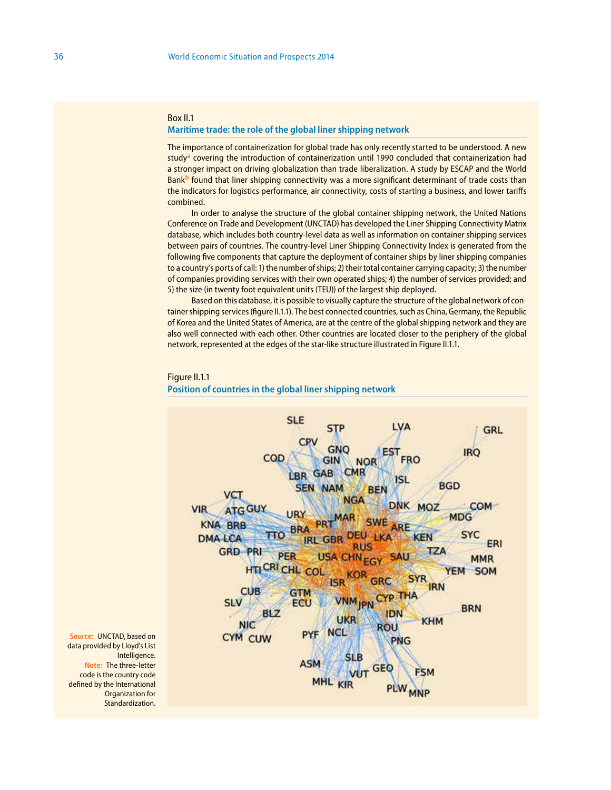#### Box II.1 **Maritime trade: the role of the global liner shipping network**

The importance of containerization for global trade has only recently started to be understood. A new study**a** covering the introduction of containerization until 1990 concluded that containerization had a stronger impact on driving globalization than trade liberalization. A study by ESCAP and the World Bank**b** found that liner shipping connectivity was a more significant determinant of trade costs than the indicators for logistics performance, air connectivity, costs of starting a business, and lower tariffs combined.

In order to analyse the structure of the global container shipping network, the United Nations Conference on Trade and Development (UNCTAD) has developed the Liner Shipping Connectivity Matrix database, which includes both country-level data as well as information on container shipping services between pairs of countries. The country-level Liner Shipping Connectivity Index is generated from the following five components that capture the deployment of container ships by liner shipping companies to a country's ports of call: 1) the number of ships; 2) their total container carrying capacity; 3) the number of companies providing services with their own operated ships; 4) the number of services provided; and 5) the size (in twenty foot equivalent units (TEU)) of the largest ship deployed.

Based on this database, it is possible to visually capture the structure of the global network of container shipping services (figure II.1.1). The best connected countries, such as China, Germany, the Republic of Korea and the United States of America, are at the centre of the global shipping network and they are also well connected with each other. Other countries are located closer to the periphery of the global network, represented at the edges of the star-like structure illustrated in Figure II.1.1.

#### **SLE** LVA **STP** GRL **GNO IRO** COD **FRO GIN NOR GAB CMR** LBR **ISL BGD SEN NAM BEN** VCT **NGA DNK COM MOZ VIR ATG** GUY **IIRY MDG** MAR **SWE KNA BRB PRT** ARE **BRA TTO** IRL GBR DEU **SYC KEN DMA LCA** ERI **RUS GRD PRI** TZA PER **USA CHN SAU MMR** EGY HTI<sup>CRI</sup>CHL COL YEM SOM **SYR GRC ISR IRN CUB GTM** VNM<sub>JPN</sub> CYP THA **SLV ECU BRN BLZ IDN UKR KHM NIC ROU NCL PYF** CYM CUW **PNG SLB ASM VUT GEO** FSM

MHL KIR

PLW

**MNP** 

#### Figure II.1.1 **Position of countries in the global liner shipping network**

**Source:** UNCTAD, based on data provided by Lloyd's List Intelligence. **Note:** The three-letter code is the country code defined by the International Organization for Standardization.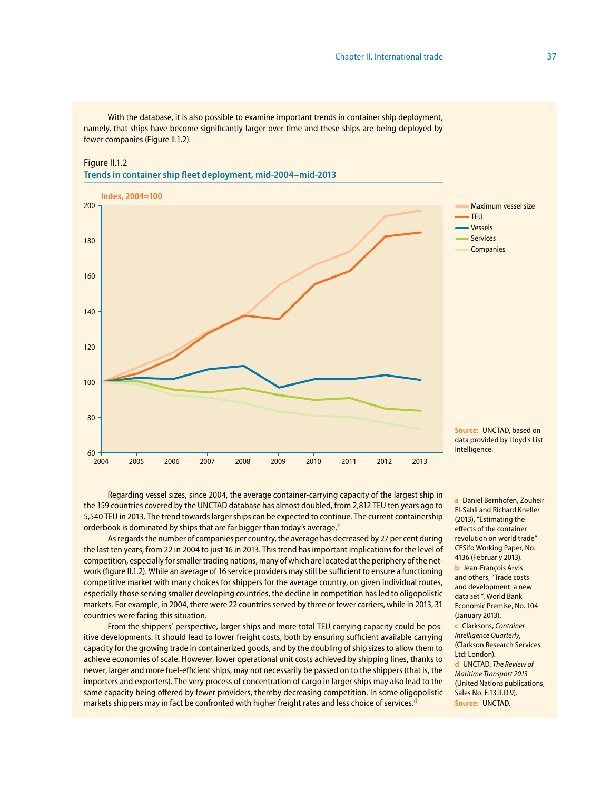With the database, it is also possible to examine important trends in container ship deployment, namely, that ships have become significantly larger over time and these ships are being deployed by fewer companies (Figure II.1.2).

#### Figure II.1.2 **Trends in container ship fleet deployment, mid-2004–mid-2013**



Regarding vessel sizes, since 2004, the average container-carrying capacity of the largest ship in the 159 countries covered by the UNCTAD database has almost doubled, from 2,812 TEU ten years ago to 5,540 TEU in 2013. The trend towards larger ships can be expected to continue. The current containership orderbook is dominated by ships that are far bigger than today's average.**<sup>c</sup>**

As regards the number of companies per country, the average has decreased by 27 per cent during the last ten years, from 22 in 2004 to just 16 in 2013. This trend has important implications for the level of competition, especially for smaller trading nations, many of which are located at the periphery of the network (figure II.1.2). While an average of 16 service providers may still be sufficient to ensure a functioning competitive market with many choices for shippers for the average country, on given individual routes, especially those serving smaller developing countries, the decline in competition has led to oligopolistic markets. For example, in 2004, there were 22 countries served by three or fewer carriers, while in 2013, 31 countries were facing this situation.

From the shippers' perspective, larger ships and more total TEU carrying capacity could be positive developments. It should lead to lower freight costs, both by ensuring sufficient available carrying capacity for the growing trade in containerized goods, and by the doubling of ship sizes to allow them to achieve economies of scale. However, lower operational unit costs achieved by shipping lines, thanks to newer, larger and more fuel-efficient ships, may not necessarily be passed on to the shippers (that is, the importers and exporters). The very process of concentration of cargo in larger ships may also lead to the same capacity being offered by fewer providers, thereby decreasing competition. In some oligopolistic markets shippers may in fact be confronted with higher freight rates and less choice of services.**<sup>d</sup>**

**a** Daniel Bernhofen, Zouheir El-Sahli and Richard Kneller (2013), "Estimating the effects of the container revolution on world trade" CESifo Working Paper, No. 4136 (Februar y 2013). **b** Jean-François Arvis and others, "Trade costs and development: a new data set ", World Bank Economic Premise, No. 104 (January 2013). **c** Clarksons, *Container Intelligence Quarterly*, (Clarkson Research Services

Ltd: London). **d** UNCTAD, *The Review of Maritime Transport 2013*  (United Nations publications, Sales No. E.13.II.D.9). **Source:** UNCTAD.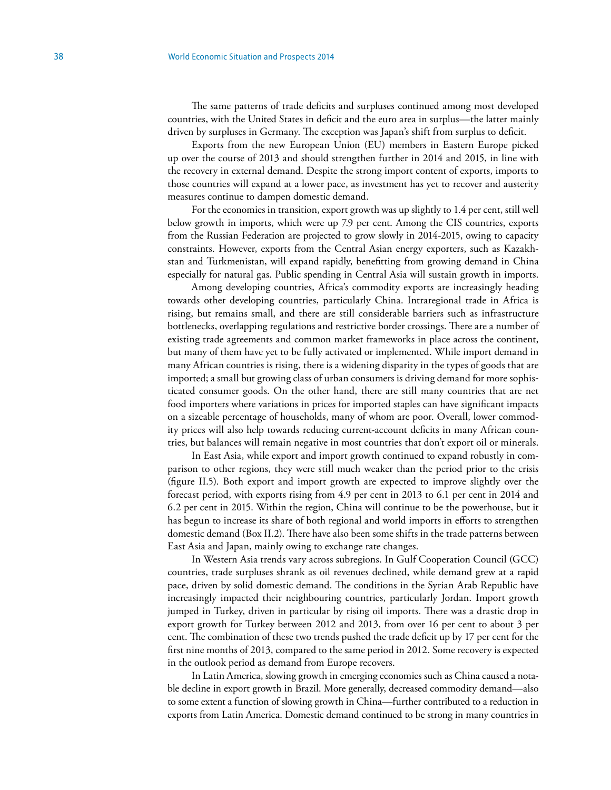The same patterns of trade deficits and surpluses continued among most developed countries, with the United States in deficit and the euro area in surplus—the latter mainly driven by surpluses in Germany. The exception was Japan's shift from surplus to deficit.

Exports from the new European Union (EU) members in Eastern Europe picked up over the course of 2013 and should strengthen further in 2014 and 2015, in line with the recovery in external demand. Despite the strong import content of exports, imports to those countries will expand at a lower pace, as investment has yet to recover and austerity measures continue to dampen domestic demand.

For the economies in transition, export growth was up slightly to 1.4 per cent, still well below growth in imports, which were up 7.9 per cent. Among the CIS countries, exports from the Russian Federation are projected to grow slowly in 2014-2015, owing to capacity constraints. However, exports from the Central Asian energy exporters, such as Kazakhstan and Turkmenistan, will expand rapidly, benefitting from growing demand in China especially for natural gas. Public spending in Central Asia will sustain growth in imports.

Among developing countries, Africa's commodity exports are increasingly heading towards other developing countries, particularly China. Intraregional trade in Africa is rising, but remains small, and there are still considerable barriers such as infrastructure bottlenecks, overlapping regulations and restrictive border crossings. There are a number of existing trade agreements and common market frameworks in place across the continent, but many of them have yet to be fully activated or implemented. While import demand in many African countries is rising, there is a widening disparity in the types of goods that are imported; a small but growing class of urban consumers is driving demand for more sophisticated consumer goods. On the other hand, there are still many countries that are net food importers where variations in prices for imported staples can have significant impacts on a sizeable percentage of households, many of whom are poor. Overall, lower commodity prices will also help towards reducing current-account deficits in many African countries, but balances will remain negative in most countries that don't export oil or minerals.

In East Asia, while export and import growth continued to expand robustly in comparison to other regions, they were still much weaker than the period prior to the crisis (figure II.5). Both export and import growth are expected to improve slightly over the forecast period, with exports rising from 4.9 per cent in 2013 to 6.1 per cent in 2014 and 6.2 per cent in 2015. Within the region, China will continue to be the powerhouse, but it has begun to increase its share of both regional and world imports in efforts to strengthen domestic demand (Box II.2). There have also been some shifts in the trade patterns between East Asia and Japan, mainly owing to exchange rate changes.

In Western Asia trends vary across subregions. In Gulf Cooperation Council (GCC) countries, trade surpluses shrank as oil revenues declined, while demand grew at a rapid pace, driven by solid domestic demand. The conditions in the Syrian Arab Republic have increasingly impacted their neighbouring countries, particularly Jordan. Import growth jumped in Turkey, driven in particular by rising oil imports. There was a drastic drop in export growth for Turkey between 2012 and 2013, from over 16 per cent to about 3 per cent. The combination of these two trends pushed the trade deficit up by 17 per cent for the first nine months of 2013, compared to the same period in 2012. Some recovery is expected in the outlook period as demand from Europe recovers.

In Latin America, slowing growth in emerging economies such as China caused a notable decline in export growth in Brazil. More generally, decreased commodity demand—also to some extent a function of slowing growth in China—further contributed to a reduction in exports from Latin America. Domestic demand continued to be strong in many countries in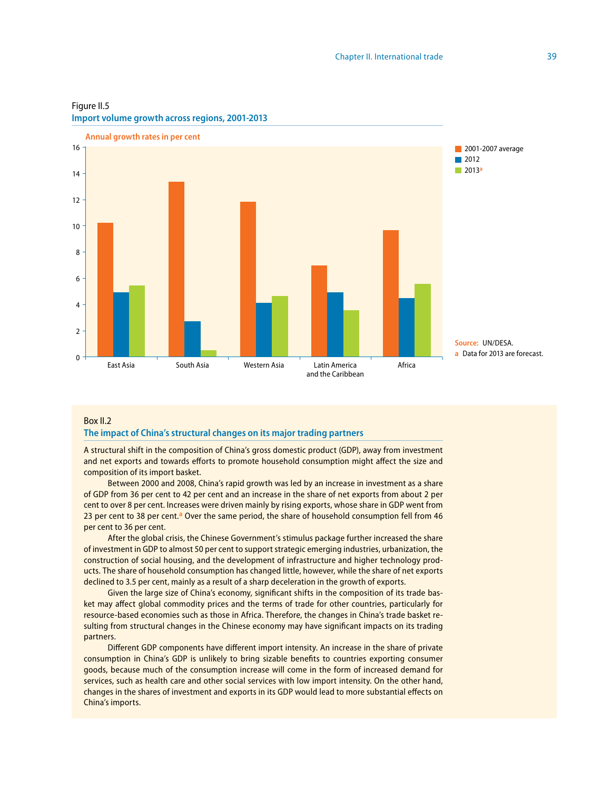

### Figure II.5

# **Import volume growth across regions, 2001-2013**

### Box II.2 **The impact of China's structural changes on its major trading partners**

A structural shift in the composition of China's gross domestic product (GDP), away from investment and net exports and towards efforts to promote household consumption might affect the size and composition of its import basket.

Between 2000 and 2008, China's rapid growth was led by an increase in investment as a share of GDP from 36 per cent to 42 per cent and an increase in the share of net exports from about 2 per cent to over 8 per cent. Increases were driven mainly by rising exports, whose share in GDP went from 23 per cent to 38 per cent.**a** Over the same period, the share of household consumption fell from 46 per cent to 36 per cent.

After the global crisis, the Chinese Government's stimulus package further increased the share of investment in GDP to almost 50 per cent to support strategic emerging industries, urbanization, the construction of social housing, and the development of infrastructure and higher technology products. The share of household consumption has changed little, however, while the share of net exports declined to 3.5 per cent, mainly as a result of a sharp deceleration in the growth of exports.

Given the large size of China's economy, significant shifts in the composition of its trade basket may affect global commodity prices and the terms of trade for other countries, particularly for resource-based economies such as those in Africa. Therefore, the changes in China's trade basket resulting from structural changes in the Chinese economy may have significant impacts on its trading partners.

Different GDP components have different import intensity. An increase in the share of private consumption in China's GDP is unlikely to bring sizable benefits to countries exporting consumer goods, because much of the consumption increase will come in the form of increased demand for services, such as health care and other social services with low import intensity. On the other hand, changes in the shares of investment and exports in its GDP would lead to more substantial effects on China's imports.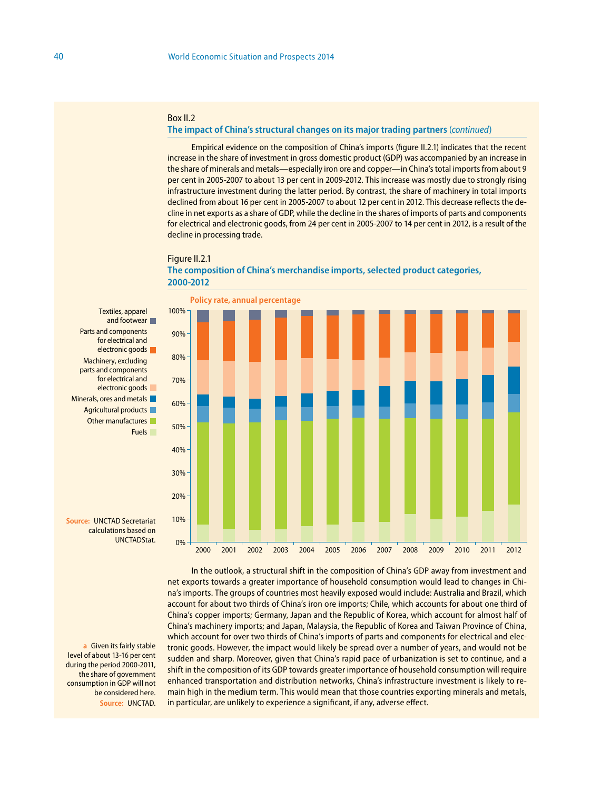#### Box II.2

#### **The impact of China's structural changes on its major trading partners** (*continued*)

Empirical evidence on the composition of China's imports (figure II.2.1) indicates that the recent increase in the share of investment in gross domestic product (GDP) was accompanied by an increase in the share of minerals and metals—especially iron ore and copper—in China's total imports from about 9 per cent in 2005-2007 to about 13 per cent in 2009-2012. This increase was mostly due to strongly rising infrastructure investment during the latter period. By contrast, the share of machinery in total imports declined from about 16 per cent in 2005-2007 to about 12 per cent in 2012. This decrease reflects the decline in net exports as a share of GDP, while the decline in the shares of imports of parts and components for electrical and electronic goods, from 24 per cent in 2005-2007 to 14 per cent in 2012, is a result of the decline in processing trade.

#### Figure II.2.1



**Policy rate, annual percentage** 0% 10% 20% 30% 40% 50% 60% 70% 80% 90% 100% 2000 2001 2002 2003 2004 2005 2006 2007 2008 2009 2010 2011 2012

Textiles, apparel and footwear Parts and components for electrical and electronic goods **Laborate** Machinery, excluding parts and components for electrical and electronic goods Minerals, ores and metals Agricultural products Other manufactures Fuels

**a** Given its fairly stable level of about 13-16 per cent during the period 2000-2011, the share of government consumption in GDP will not be considered here. **Source:** UNCTAD.

In the outlook, a structural shift in the composition of China's GDP away from investment and net exports towards a greater importance of household consumption would lead to changes in China's imports. The groups of countries most heavily exposed would include: Australia and Brazil, which account for about two thirds of China's iron ore imports; Chile, which accounts for about one third of China's copper imports; Germany, Japan and the Republic of Korea, which account for almost half of China's machinery imports; and Japan, Malaysia, the Republic of Korea and Taiwan Province of China, which account for over two thirds of China's imports of parts and components for electrical and electronic goods. However, the impact would likely be spread over a number of years, and would not be sudden and sharp. Moreover, given that China's rapid pace of urbanization is set to continue, and a shift in the composition of its GDP towards greater importance of household consumption will require enhanced transportation and distribution networks, China's infrastructure investment is likely to remain high in the medium term. This would mean that those countries exporting minerals and metals, in particular, are unlikely to experience a significant, if any, adverse effect.

**Source:** UNCTAD Secretariat calculations based on UNCTADStat.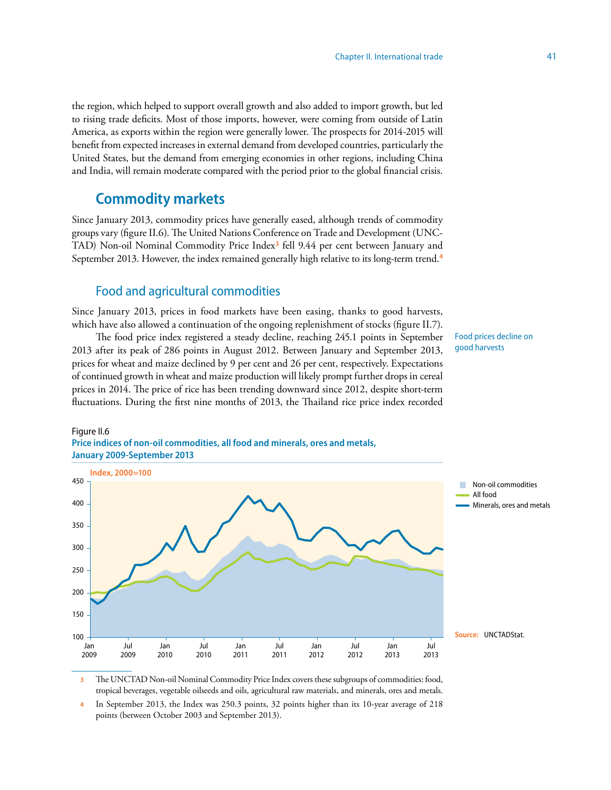the region, which helped to support overall growth and also added to import growth, but led to rising trade deficits. Most of those imports, however, were coming from outside of Latin America, as exports within the region were generally lower. The prospects for 2014-2015 will benefit from expected increases in external demand from developed countries, particularly the United States, but the demand from emerging economies in other regions, including China and India, will remain moderate compared with the period prior to the global financial crisis.

# **Commodity markets**

Since January 2013, commodity prices have generally eased, although trends of commodity groups vary (figure II.6). The United Nations Conference on Trade and Development (UNC-TAD) Non-oil Nominal Commodity Price Index**<sup>3</sup>** fell 9.44 per cent between January and September 2013. However, the index remained generally high relative to its long-term trend.**<sup>4</sup>**

# Food and agricultural commodities

Since January 2013, prices in food markets have been easing, thanks to good harvests, which have also allowed a continuation of the ongoing replenishment of stocks (figure II.7).

The food price index registered a steady decline, reaching 245.1 points in September 2013 after its peak of 286 points in August 2012. Between January and September 2013, prices for wheat and maize declined by 9 per cent and 26 per cent, respectively. Expectations of continued growth in wheat and maize production will likely prompt further drops in cereal prices in 2014. The price of rice has been trending downward since 2012, despite short-term fluctuations. During the first nine months of 2013, the Thailand rice price index recorded





**3** The UNCTAD Non-oil Nominal Commodity Price Index covers these subgroups of commodities: food, tropical beverages, vegetable oilseeds and oils, agricultural raw materials, and minerals, ores and metals.

**4** In September 2013, the Index was 250.3 points, 32 points higher than its 10-year average of 218 points (between October 2003 and September 2013).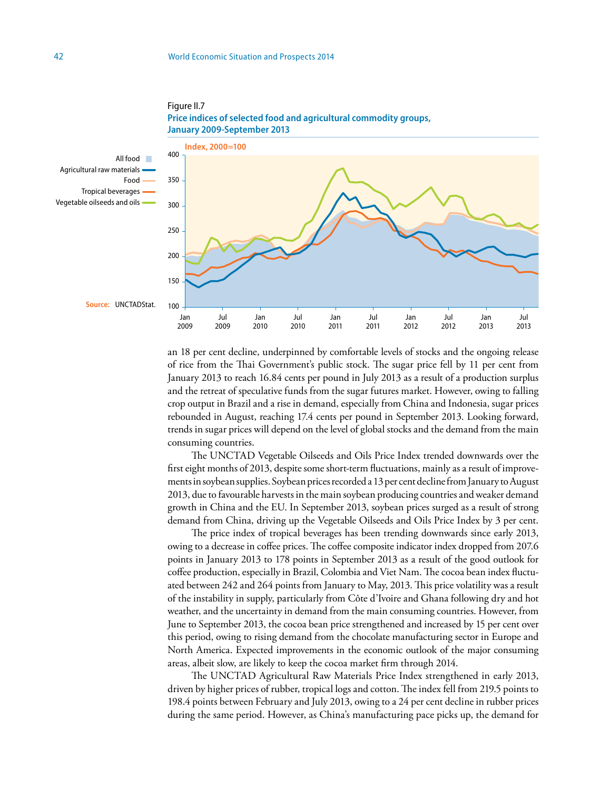

an 18 per cent decline, underpinned by comfortable levels of stocks and the ongoing release of rice from the Thai Government's public stock. The sugar price fell by 11 per cent from January 2013 to reach 16.84 cents per pound in July 2013 as a result of a production surplus and the retreat of speculative funds from the sugar futures market. However, owing to falling crop output in Brazil and a rise in demand, especially from China and Indonesia, sugar prices rebounded in August, reaching 17.4 cents per pound in September 2013. Looking forward, trends in sugar prices will depend on the level of global stocks and the demand from the main consuming countries.

The UNCTAD Vegetable Oilseeds and Oils Price Index trended downwards over the first eight months of 2013, despite some short-term fluctuations, mainly as a result of improvements in soybean supplies. Soybean prices recorded a 13 per cent decline from January to August 2013, due to favourable harvests in the main soybean producing countries and weaker demand growth in China and the EU. In September 2013, soybean prices surged as a result of strong demand from China, driving up the Vegetable Oilseeds and Oils Price Index by 3 per cent.

The price index of tropical beverages has been trending downwards since early 2013, owing to a decrease in coffee prices. The coffee composite indicator index dropped from 207.6 points in January 2013 to 178 points in September 2013 as a result of the good outlook for coffee production, especially in Brazil, Colombia and Viet Nam. The cocoa bean index fluctuated between 242 and 264 points from January to May, 2013. This price volatility was a result of the instability in supply, particularly from Côte d'Ivoire and Ghana following dry and hot weather, and the uncertainty in demand from the main consuming countries. However, from June to September 2013, the cocoa bean price strengthened and increased by 15 per cent over this period, owing to rising demand from the chocolate manufacturing sector in Europe and North America. Expected improvements in the economic outlook of the major consuming areas, albeit slow, are likely to keep the cocoa market firm through 2014.

The UNCTAD Agricultural Raw Materials Price Index strengthened in early 2013, driven by higher prices of rubber, tropical logs and cotton. The index fell from 219.5 points to 198.4 points between February and July 2013, owing to a 24 per cent decline in rubber prices during the same period. However, as China's manufacturing pace picks up, the demand for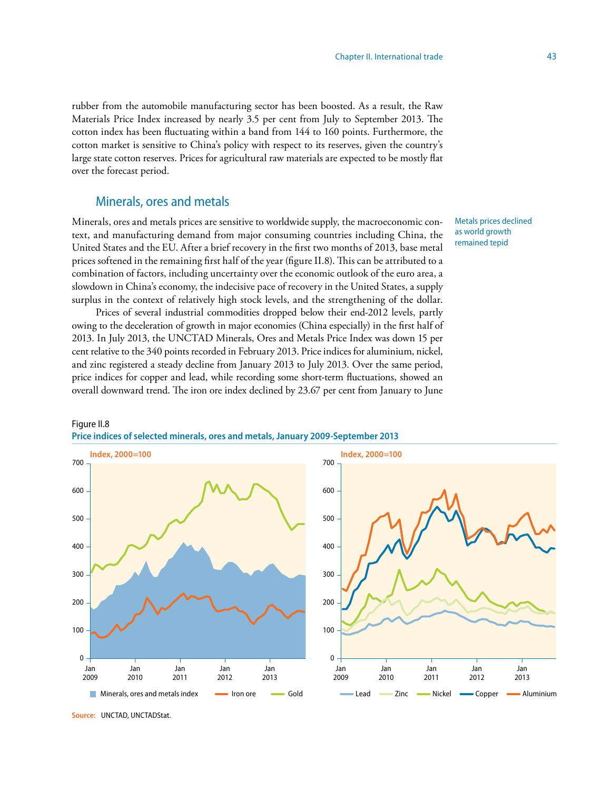rubber from the automobile manufacturing sector has been boosted. As a result, the Raw Materials Price Index increased by nearly 3.5 per cent from July to September 2013. The cotton index has been fluctuating within a band from 144 to 160 points. Furthermore, the cotton market is sensitive to China's policy with respect to its reserves, given the country's large state cotton reserves. Prices for agricultural raw materials are expected to be mostly flat over the forecast period.

# Minerals, ores and metals

Minerals, ores and metals prices are sensitive to worldwide supply, the macroeconomic context, and manufacturing demand from major consuming countries including China, the United States and the EU. After a brief recovery in the first two months of 2013, base metal prices softened in the remaining first half of the year (figure II.8). This can be attributed to a combination of factors, including uncertainty over the economic outlook of the euro area, a slowdown in China's economy, the indecisive pace of recovery in the United States, a supply surplus in the context of relatively high stock levels, and the strengthening of the dollar.

Prices of several industrial commodities dropped below their end-2012 levels, partly owing to the deceleration of growth in major economies (China especially) in the first half of 2013. In July 2013, the UNCTAD Minerals, Ores and Metals Price Index was down 15 per cent relative to the 340 points recorded in February 2013. Price indices for aluminium, nickel, and zinc registered a steady decline from January 2013 to July 2013. Over the same period, price indices for copper and lead, while recording some short-term fluctuations, showed an overall downward trend. The iron ore index declined by 23.67 per cent from January to June

Metals prices declined as world growth remained tepid



Figure II.8 **Price indices of selected minerals, ores and metals, January 2009-September 2013**

**Source:** UNCTAD, UNCTADStat.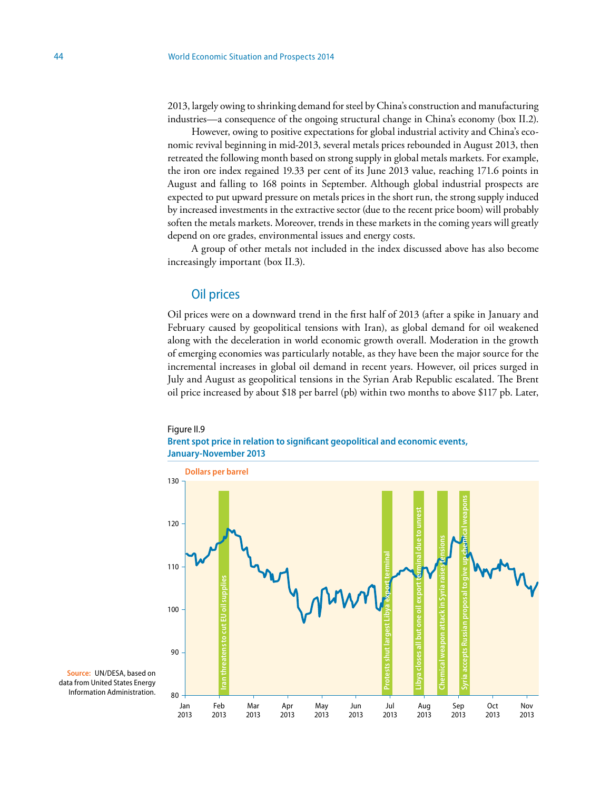2013, largely owing to shrinking demand for steel by China's construction and manufacturing industries—a consequence of the ongoing structural change in China's economy (box II.2).

However, owing to positive expectations for global industrial activity and China's economic revival beginning in mid-2013, several metals prices rebounded in August 2013, then retreated the following month based on strong supply in global metals markets. For example, the iron ore index regained 19.33 per cent of its June 2013 value, reaching 171.6 points in August and falling to 168 points in September. Although global industrial prospects are expected to put upward pressure on metals prices in the short run, the strong supply induced by increased investments in the extractive sector (due to the recent price boom) will probably soften the metals markets. Moreover, trends in these markets in the coming years will greatly depend on ore grades, environmental issues and energy costs.

A group of other metals not included in the index discussed above has also become increasingly important (box II.3).

# Oil prices

Oil prices were on a downward trend in the first half of 2013 (after a spike in January and February caused by geopolitical tensions with Iran), as global demand for oil weakened along with the deceleration in world economic growth overall. Moderation in the growth of emerging economies was particularly notable, as they have been the major source for the incremental increases in global oil demand in recent years. However, oil prices surged in July and August as geopolitical tensions in the Syrian Arab Republic escalated. The Brent oil price increased by about \$18 per barrel (pb) within two months to above \$117 pb. Later,





**Source:** UN/DESA, based on data from United States Energy Information Administration.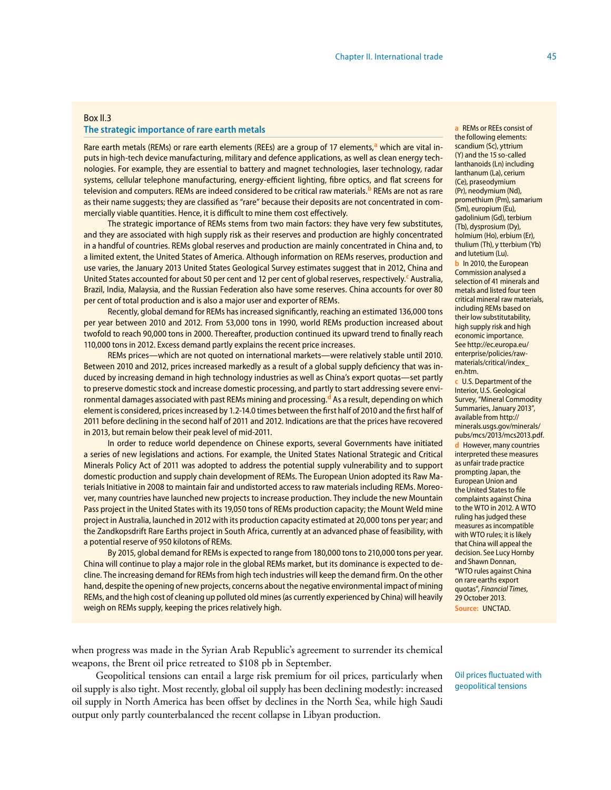#### Box II.3 **The strategic importance of rare earth metals**

Rare earth metals (REMs) or rare earth elements (REEs) are a group of 17 elements,**a** which are vital inputs in high-tech device manufacturing, military and defence applications, as well as clean energy technologies. For example, they are essential to battery and magnet technologies, laser technology, radar systems, cellular telephone manufacturing, energy-efficient lighting, fibre optics, and flat screens for television and computers. REMs are indeed considered to be critical raw materials.**b** REMs are not as rare as their name suggests; they are classified as "rare" because their deposits are not concentrated in commercially viable quantities. Hence, it is difficult to mine them cost effectively.

The strategic importance of REMs stems from two main factors: they have very few substitutes, and they are associated with high supply risk as their reserves and production are highly concentrated in a handful of countries. REMs global reserves and production are mainly concentrated in China and, to a limited extent, the United States of America. Although information on REMs reserves, production and use varies, the January 2013 United States Geological Survey estimates suggest that in 2012, China and United States accounted for about 50 per cent and 12 per cent of global reserves, respectively.**<sup>c</sup>** Australia, Brazil, India, Malaysia, and the Russian Federation also have some reserves. China accounts for over 80 per cent of total production and is also a major user and exporter of REMs.

Recently, global demand for REMs has increased significantly, reaching an estimated 136,000 tons per year between 2010 and 2012. From 53,000 tons in 1990, world REMs production increased about twofold to reach 90,000 tons in 2000. Thereafter, production continued its upward trend to finally reach 110,000 tons in 2012. Excess demand partly explains the recent price increases.

REMs prices—which are not quoted on international markets—were relatively stable until 2010. Between 2010 and 2012, prices increased markedly as a result of a global supply deficiency that was induced by increasing demand in high technology industries as well as China's export quotas—set partly to preserve domestic stock and increase domestic processing, and partly to start addressing severe environmental damages associated with past REMs mining and processing.**d** As a result, depending on which element is considered, prices increased by 1.2-14.0 times between the first half of 2010 and the first half of 2011 before declining in the second half of 2011 and 2012. Indications are that the prices have recovered in 2013, but remain below their peak level of mid-2011.

In order to reduce world dependence on Chinese exports, several Governments have initiated a series of new legislations and actions. For example, the United States National Strategic and Critical Minerals Policy Act of 2011 was adopted to address the potential supply vulnerability and to support domestic production and supply chain development of REMs. The European Union adopted its Raw Materials Initiative in 2008 to maintain fair and undistorted access to raw materials including REMs. Moreover, many countries have launched new projects to increase production. They include the new Mountain Pass project in the United States with its 19,050 tons of REMs production capacity; the Mount Weld mine project in Australia, launched in 2012 with its production capacity estimated at 20,000 tons per year; and the Zandkopsdrift Rare Earths project in South Africa, currently at an advanced phase of feasibility, with a potential reserve of 950 kilotons of REMs.

By 2015, global demand for REMs is expected to range from 180,000 tons to 210,000 tons per year. China will continue to play a major role in the global REMs market, but its dominance is expected to decline. The increasing demand for REMs from high tech industries will keep the demand firm. On the other hand, despite the opening of new projects, concerns about the negative environmental impact of mining REMs, and the high cost of cleaning up polluted old mines (as currently experienced by China) will heavily weigh on REMs supply, keeping the prices relatively high.

when progress was made in the Syrian Arab Republic's agreement to surrender its chemical weapons, the Brent oil price retreated to \$108 pb in September.

Geopolitical tensions can entail a large risk premium for oil prices, particularly when oil supply is also tight. Most recently, global oil supply has been declining modestly: increased oil supply in North America has been offset by declines in the North Sea, while high Saudi output only partly counterbalanced the recent collapse in Libyan production.

**a** REMs or REEs consist of the following elements: scandium (Sc), yttrium (Y) and the 15 so-called lanthanoids (Ln) including lanthanum (La), cerium (Ce), praseodymium (Pr), neodymium (Nd), promethium (Pm), samarium (Sm), europium (Eu), gadolinium (Gd), terbium (Tb), dysprosium (Dy), holmium (Ho), erbium (Er), thulium (Th), y tterbium (Yb) and lutetium (Lu). **b** In 2010, the European Commission analysed a

selection of 41 minerals and metals and listed four teen critical mineral raw materials, including REMs based on their low substitutability, high supply risk and high economic importance. See http://ec.europa.eu/ enterprise/policies/rawmaterials/critical/index\_ en.htm.

**c** U.S. Department of the Interior, U.S. Geological Survey, "Mineral Commodity Summaries, January 2013", available from http:// minerals.usgs.gov/minerals/ pubs/mcs/2013/mcs2013.pdf. **d** However, many countries interpreted these measures as unfair trade practice prompting Japan, the European Union and the United States to file complaints against China to the WTO in 2012. A WTO ruling has judged these measures as incompatible with WTO rules; it is likely that China will appeal the decision. See Lucy Hornby and Shawn Donnan, "WTO rules against China on rare earths export quotas", *Financial Times*, 29 October 2013. **Source:** UNCTAD.

Oil prices fluctuated with geopolitical tensions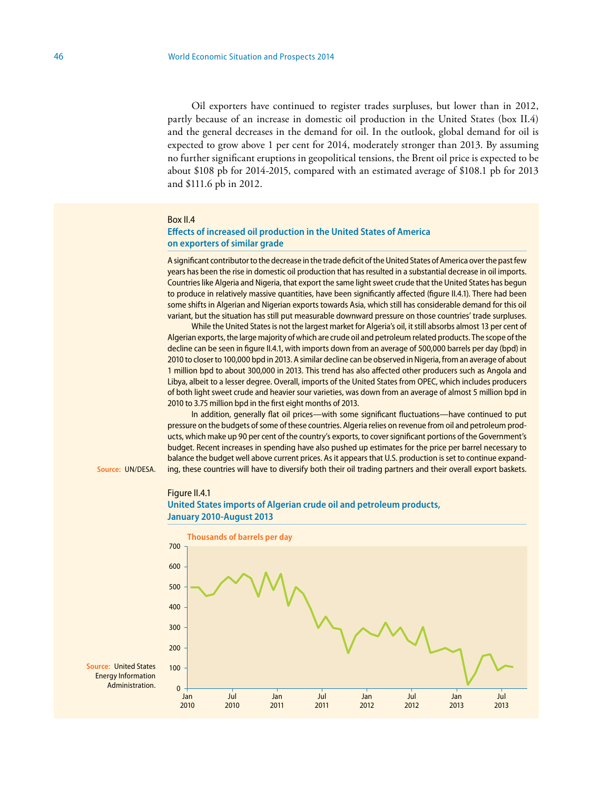Oil exporters have continued to register trades surpluses, but lower than in 2012, partly because of an increase in domestic oil production in the United States (box II.4) and the general decreases in the demand for oil. In the outlook, global demand for oil is expected to grow above 1 per cent for 2014, moderately stronger than 2013. By assuming no further significant eruptions in geopolitical tensions, the Brent oil price is expected to be about \$108 pb for 2014-2015, compared with an estimated average of \$108.1 pb for 2013 and \$111.6 pb in 2012.

#### Box II.4

#### **Effects of increased oil production in the United States of America on exporters of similar grade**

A significant contributor to the decrease in the trade deficit of the United States of America over the past few years has been the rise in domestic oil production that has resulted in a substantial decrease in oil imports. Countries like Algeria and Nigeria, that export the same light sweet crude that the United States has begun to produce in relatively massive quantities, have been significantly affected (figure II.4.1). There had been some shifts in Algerian and Nigerian exports towards Asia, which still has considerable demand for this oil variant, but the situation has still put measurable downward pressure on those countries' trade surpluses.

While the United States is not the largest market for Algeria's oil, it still absorbs almost 13 per cent of Algerian exports, the large majority of which are crude oil and petroleum related products. The scope of the decline can be seen in figure II.4.1, with imports down from an average of 500,000 barrels per day (bpd) in 2010 to closer to 100,000 bpd in 2013. A similar decline can be observed in Nigeria, from an average of about 1 million bpd to about 300,000 in 2013. This trend has also affected other producers such as Angola and Libya, albeit to a lesser degree. Overall, imports of the United States from OPEC, which includes producers of both light sweet crude and heavier sour varieties, was down from an average of almost 5 million bpd in 2010 to 3.75 million bpd in the first eight months of 2013.

In addition, generally flat oil prices—with some significant fluctuations—have continued to put pressure on the budgets of some of these countries. Algeria relies on revenue from oil and petroleum products, which make up 90 per cent of the country's exports, to cover significant portions of the Government's budget. Recent increases in spending have also pushed up estimates for the price per barrel necessary to balance the budget well above current prices. As it appears that U.S. production is set to continue expanding, these countries will have to diversify both their oil trading partners and their overall export baskets.

**Source:** UN/DESA.

#### Figure II.4.1



### **United States imports of Algerian crude oil and petroleum products, January 2010-August 2013**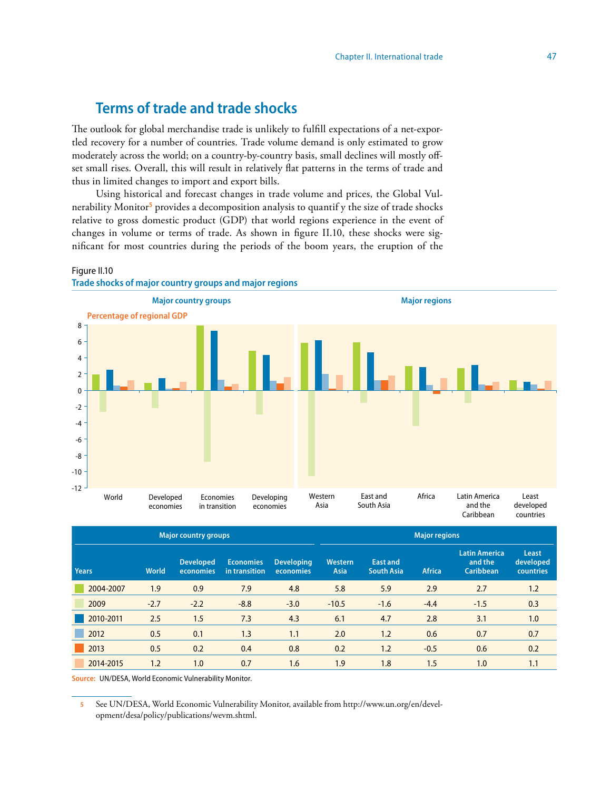# **Terms of trade and trade shocks**

The outlook for global merchandise trade is unlikely to fulfill expectations of a net-exportled recovery for a number of countries. Trade volume demand is only estimated to grow moderately across the world; on a country-by-country basis, small declines will mostly offset small rises. Overall, this will result in relatively flat patterns in the terms of trade and thus in limited changes to import and export bills.

Using historical and forecast changes in trade volume and prices, the Global Vulnerability Monitor**<sup>5</sup>** provides a decomposition analysis to quantif y the size of trade shocks relative to gross domestic product (GDP) that world regions experience in the event of changes in volume or terms of trade. As shown in figure II.10, these shocks were significant for most countries during the periods of the boom years, the eruption of the

#### Figure II.10





| <b>Major country groups</b> |              |                               |                                   | <b>Major regions</b>           |                 |                                      |               |                                                     |                                        |
|-----------------------------|--------------|-------------------------------|-----------------------------------|--------------------------------|-----------------|--------------------------------------|---------------|-----------------------------------------------------|----------------------------------------|
| <b>Years</b>                | <b>World</b> | <b>Developed</b><br>economies | <b>Economies</b><br>in transition | <b>Developing</b><br>economies | Western<br>Asia | <b>East and</b><br><b>South Asia</b> | <b>Africa</b> | <b>Latin America</b><br>and the<br><b>Caribbean</b> | <b>Least</b><br>developed<br>countries |
| 2004-2007                   | 1.9          | 0.9                           | 7.9                               | 4.8                            | 5.8             | 5.9                                  | 2.9           | 2.7                                                 | 1.2                                    |
| 2009                        | $-2.7$       | $-2.2$                        | $-8.8$                            | $-3.0$                         | $-10.5$         | $-1.6$                               | $-4.4$        | $-1.5$                                              | 0.3                                    |
| 2010-2011                   | 2.5          | 1.5                           | 7.3                               | 4.3                            | 6.1             | 4.7                                  | 2.8           | 3.1                                                 | 1.0                                    |
| 2012                        | 0.5          | 0.1                           | 1.3                               | 1.1                            | 2.0             | 1.2                                  | 0.6           | 0.7                                                 | 0.7                                    |
| 2013                        | 0.5          | 0.2                           | 0.4                               | 0.8                            | 0.2             | 1.2                                  | $-0.5$        | 0.6                                                 | 0.2                                    |
| 2014-2015                   | 1.2          | 1.0                           | 0.7                               | 1.6                            | 1.9             | 1.8                                  | 1.5           | 1.0                                                 | 1.1                                    |

**Source:** UN/DESA, World Economic Vulnerability Monitor.

**5** See UN/DESA, World Economic Vulnerability Monitor, available from http://www.un.org/en/development/desa/policy/publications/wevm.shtml.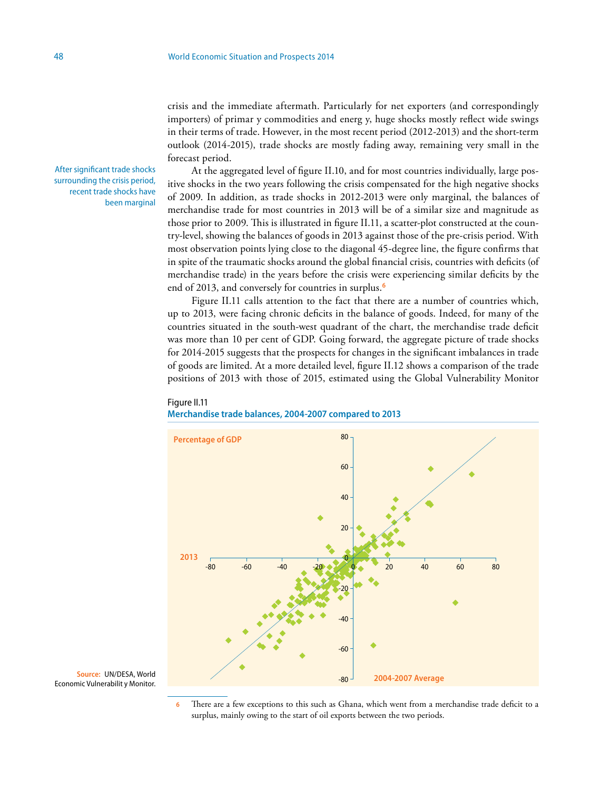crisis and the immediate aftermath. Particularly for net exporters (and correspondingly importers) of primar y commodities and energ y, huge shocks mostly reflect wide swings in their terms of trade. However, in the most recent period (2012-2013) and the short-term outlook (2014-2015), trade shocks are mostly fading away, remaining very small in the forecast period.

At the aggregated level of figure II.10, and for most countries individually, large positive shocks in the two years following the crisis compensated for the high negative shocks of 2009. In addition, as trade shocks in 2012-2013 were only marginal, the balances of merchandise trade for most countries in 2013 will be of a similar size and magnitude as those prior to 2009. This is illustrated in figure II.11, a scatter-plot constructed at the country-level, showing the balances of goods in 2013 against those of the pre-crisis period. With most observation points lying close to the diagonal 45-degree line, the figure confirms that in spite of the traumatic shocks around the global financial crisis, countries with deficits (of merchandise trade) in the years before the crisis were experiencing similar deficits by the end of 2013, and conversely for countries in surplus.**<sup>6</sup>**

Figure II.11 calls attention to the fact that there are a number of countries which, up to 2013, were facing chronic deficits in the balance of goods. Indeed, for many of the countries situated in the south-west quadrant of the chart, the merchandise trade deficit was more than 10 per cent of GDP. Going forward, the aggregate picture of trade shocks for 2014-2015 suggests that the prospects for changes in the significant imbalances in trade of goods are limited. At a more detailed level, figure II.12 shows a comparison of the trade positions of 2013 with those of 2015, estimated using the Global Vulnerability Monitor

#### Figure II.11 **Merchandise trade balances, 2004-2007 compared to 2013**



**Source:** UN/DESA, World Economic Vulnerabilit y Monitor.

After significant trade shocks surrounding the crisis period, recent trade shocks have been marginal

There are a few exceptions to this such as Ghana, which went from a merchandise trade deficit to a surplus, mainly owing to the start of oil exports between the two periods.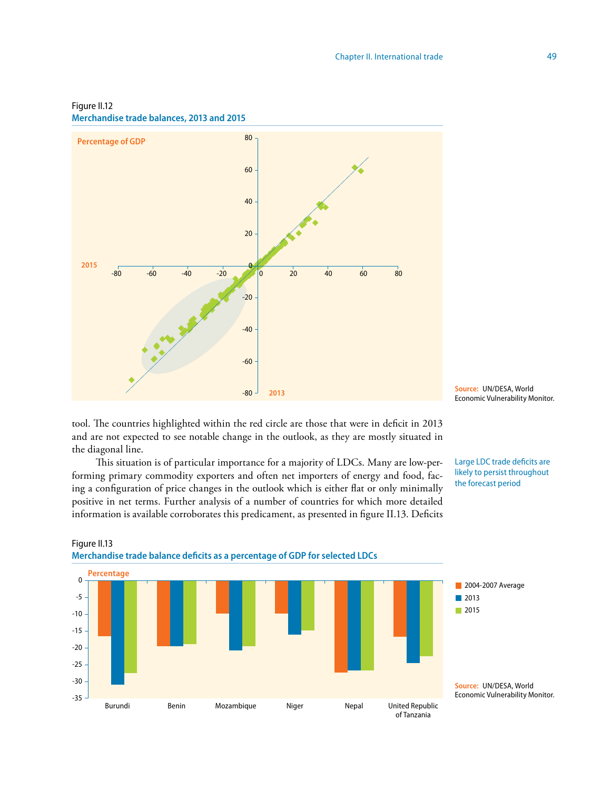

#### Figure II.12 **Merchandise trade balances, 2013 and 2015**

Economic Vulnerability Monitor.

tool. The countries highlighted within the red circle are those that were in deficit in 2013 and are not expected to see notable change in the outlook, as they are mostly situated in the diagonal line.

This situation is of particular importance for a majority of LDCs. Many are low-performing primary commodity exporters and often net importers of energy and food, facing a configuration of price changes in the outlook which is either flat or only minimally positive in net terms. Further analysis of a number of countries for which more detailed information is available corroborates this predicament, as presented in figure II.13. Deficits Large LDC trade deficits are likely to persist throughout the forecast period



### Figure II.13 **Merchandise trade balance deficits as a percentage of GDP for selected LDCs**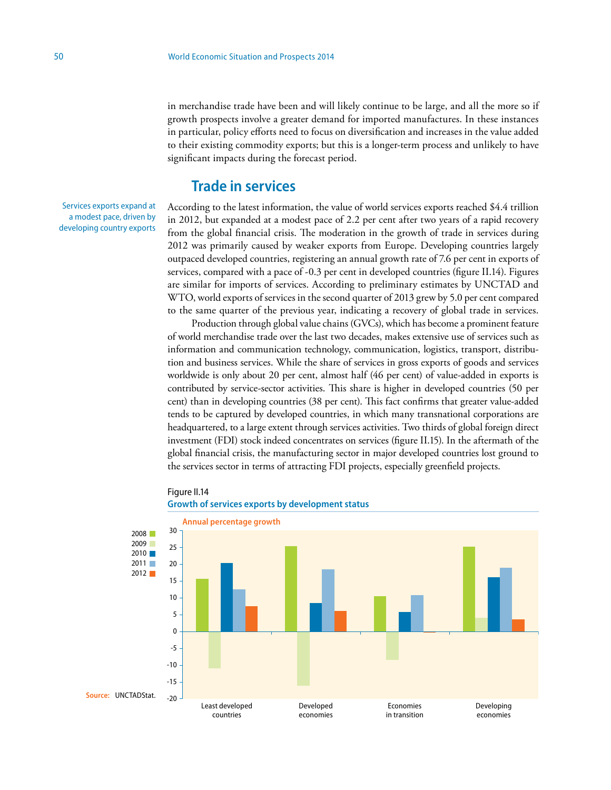in merchandise trade have been and will likely continue to be large, and all the more so if growth prospects involve a greater demand for imported manufactures. In these instances in particular, policy efforts need to focus on diversification and increases in the value added to their existing commodity exports; but this is a longer-term process and unlikely to have significant impacts during the forecast period.

# **Trade in services**

Services exports expand at a modest pace, driven by developing country exports According to the latest information, the value of world services exports reached \$4.4 trillion in 2012, but expanded at a modest pace of 2.2 per cent after two years of a rapid recovery from the global financial crisis. The moderation in the growth of trade in services during 2012 was primarily caused by weaker exports from Europe. Developing countries largely outpaced developed countries, registering an annual growth rate of 7.6 per cent in exports of services, compared with a pace of -0.3 per cent in developed countries (figure II.14). Figures are similar for imports of services. According to preliminary estimates by UNCTAD and WTO, world exports of services in the second quarter of 2013 grew by 5.0 per cent compared to the same quarter of the previous year, indicating a recovery of global trade in services.

Production through global value chains (GVCs), which has become a prominent feature of world merchandise trade over the last two decades, makes extensive use of services such as information and communication technology, communication, logistics, transport, distribution and business services. While the share of services in gross exports of goods and services worldwide is only about 20 per cent, almost half (46 per cent) of value-added in exports is contributed by service-sector activities. This share is higher in developed countries (50 per cent) than in developing countries (38 per cent). This fact confirms that greater value-added tends to be captured by developed countries, in which many transnational corporations are headquartered, to a large extent through services activities. Two thirds of global foreign direct investment (FDI) stock indeed concentrates on services (figure II.15). In the aftermath of the global financial crisis, the manufacturing sector in major developed countries lost ground to the services sector in terms of attracting FDI projects, especially greenfield projects.



Figure II.14 **Growth of services exports by development status**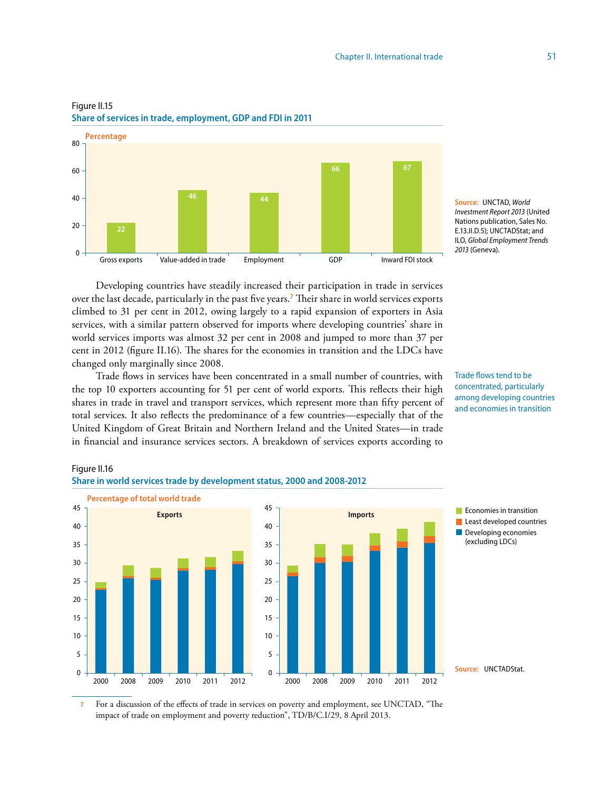

#### Figure II.15 **Share of services in trade, employment, GDP and FDI in 2011**

**Source:** UNCTAD, *World Investment Report 2013* (United Nations publication, Sales No. E.13.II.D.5); UNCTADStat; and ILO, *Global Employment Trends 2013* (Geneva).

Developing countries have steadily increased their participation in trade in services over the last decade, particularly in the past five years.**<sup>7</sup>** Their share in world services exports climbed to 31 per cent in 2012, owing largely to a rapid expansion of exporters in Asia services, with a similar pattern observed for imports where developing countries' share in world services imports was almost 32 per cent in 2008 and jumped to more than 37 per cent in 2012 (figure II.16). The shares for the economies in transition and the LDCs have changed only marginally since 2008.

Trade flows in services have been concentrated in a small number of countries, with the top 10 exporters accounting for 51 per cent of world exports. This reflects their high shares in trade in travel and transport services, which represent more than fifty percent of total services. It also reflects the predominance of a few countries—especially that of the United Kingdom of Great Britain and Northern Ireland and the United States—in trade in financial and insurance services sectors. A breakdown of services exports according to





Figure II.16 **Share in world services trade by development status, 2000 and 2008-2012**

**7** For a discussion of the effects of trade in services on poverty and employment, see UNCTAD, "The impact of trade on employment and poverty reduction", TD/B/C.I/29, 8 April 2013.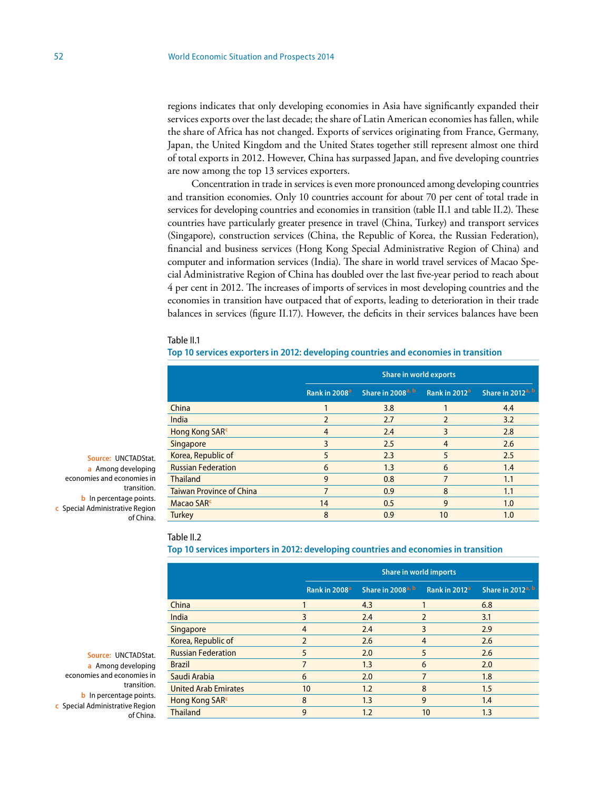regions indicates that only developing economies in Asia have significantly expanded their services exports over the last decade; the share of Latin American economies has fallen, while the share of Africa has not changed. Exports of services originating from France, Germany, Japan, the United Kingdom and the United States together still represent almost one third of total exports in 2012. However, China has surpassed Japan, and five developing countries are now among the top 13 services exporters.

Concentration in trade in services is even more pronounced among developing countries and transition economies. Only 10 countries account for about 70 per cent of total trade in services for developing countries and economies in transition (table II.1 and table II.2). These countries have particularly greater presence in travel (China, Turkey) and transport services (Singapore), construction services (China, the Republic of Korea, the Russian Federation), financial and business services (Hong Kong Special Administrative Region of China) and computer and information services (India). The share in world travel services of Macao Special Administrative Region of China has doubled over the last five-year period to reach about 4 per cent in 2012. The increases of imports of services in most developing countries and the economies in transition have outpaced that of exports, leading to deterioration in their trade balances in services (figure II.17). However, the deficits in their services balances have been

#### Table II.1

#### **Top 10 services exporters in 2012: developing countries and economies in transition**

|                                 |                           | <b>Share in world exports</b> |                           |                               |  |  |  |
|---------------------------------|---------------------------|-------------------------------|---------------------------|-------------------------------|--|--|--|
|                                 | Rank in 2008 <sup>a</sup> | Share in 2008 <sup>a, b</sup> | Rank in 2012 <sup>a</sup> | Share in 2012 <sup>a, b</sup> |  |  |  |
| China                           |                           | 3.8                           |                           | 4.4                           |  |  |  |
| India                           | C.                        | 2.7                           | $\overline{2}$            | 3.2                           |  |  |  |
| Hong Kong SAR <sup>c</sup>      | 4                         | 2.4                           | 3                         | 2.8                           |  |  |  |
| Singapore                       | 3                         | 2.5                           | 4                         | 2.6                           |  |  |  |
| Korea, Republic of              | 5                         | 2.3                           | 5                         | 2.5                           |  |  |  |
| <b>Russian Federation</b>       | 6                         | 1.3                           | 6                         | 1.4                           |  |  |  |
| Thailand                        | 9                         | 0.8                           | 7                         | 1.1                           |  |  |  |
| <b>Taiwan Province of China</b> |                           | 0.9                           | 8                         | 1.1                           |  |  |  |
| Macao SAR <sup>c</sup>          | 14                        | 0.5                           | 9                         | 1.0                           |  |  |  |
| <b>Turkey</b>                   | 8                         | 0.9                           | 10                        | 1.0                           |  |  |  |

**Source:** UNCTADStat. **a** Among developing economies and economies in transition. **b** In percentage points. **c** Special Administrative Region of China.

Table II.2

#### **Top 10 services importers in 2012: developing countries and economies in transition**

|                             |                           | <b>Share in world imports</b> |                           |                               |  |  |
|-----------------------------|---------------------------|-------------------------------|---------------------------|-------------------------------|--|--|
|                             | Rank in 2008 <sup>a</sup> | Share in 2008 <sup>a, b</sup> | Rank in 2012 <sup>a</sup> | Share in 2012 <sup>a, b</sup> |  |  |
| China                       |                           | 4.3                           |                           | 6.8                           |  |  |
| India                       | 3                         | 2.4                           | $\overline{2}$            | 3.1                           |  |  |
| Singapore                   | 4                         | 2.4                           | 3                         | 2.9                           |  |  |
| Korea, Republic of          | <sup>2</sup>              | 2.6                           | 4                         | 2.6                           |  |  |
| <b>Russian Federation</b>   | 5                         | 2.0                           | 5                         | 2.6                           |  |  |
| <b>Brazil</b>               |                           | 1.3                           | 6                         | 2.0                           |  |  |
| Saudi Arabia                | 6                         | 2.0                           | 7                         | 1.8                           |  |  |
| <b>United Arab Emirates</b> | 10                        | 1.2                           | 8                         | 1.5                           |  |  |
| Hong Kong SAR <sup>c</sup>  | 8                         | 1.3                           | 9                         | 1.4                           |  |  |
| <b>Thailand</b>             | 9                         | 1.2                           | 10                        | 1.3                           |  |  |

**Source:** UNCTADStat. **a** Among developing economies and economies in transition. **b** In percentage points. **c** Special Administrative Region of China.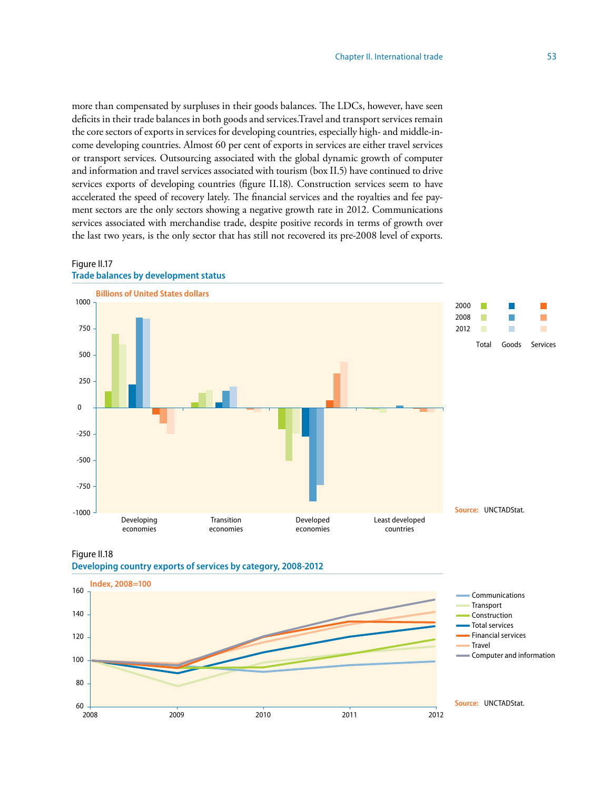more than compensated by surpluses in their goods balances. The LDCs, however, have seen deficits in their trade balances in both goods and services.Travel and transport services remain the core sectors of exports in services for developing countries, especially high- and middle-income developing countries. Almost 60 per cent of exports in services are either travel services or transport services. Outsourcing associated with the global dynamic growth of computer and information and travel services associated with tourism (box II.5) have continued to drive services exports of developing countries (figure II.18). Construction services seem to have accelerated the speed of recovery lately. The financial services and the royalties and fee payment sectors are the only sectors showing a negative growth rate in 2012. Communications services associated with merchandise trade, despite positive records in terms of growth over the last two years, is the only sector that has still not recovered its pre-2008 level of exports.



Figure II.17

Figure II.18 **Developing country exports of services by category, 2008-2012**

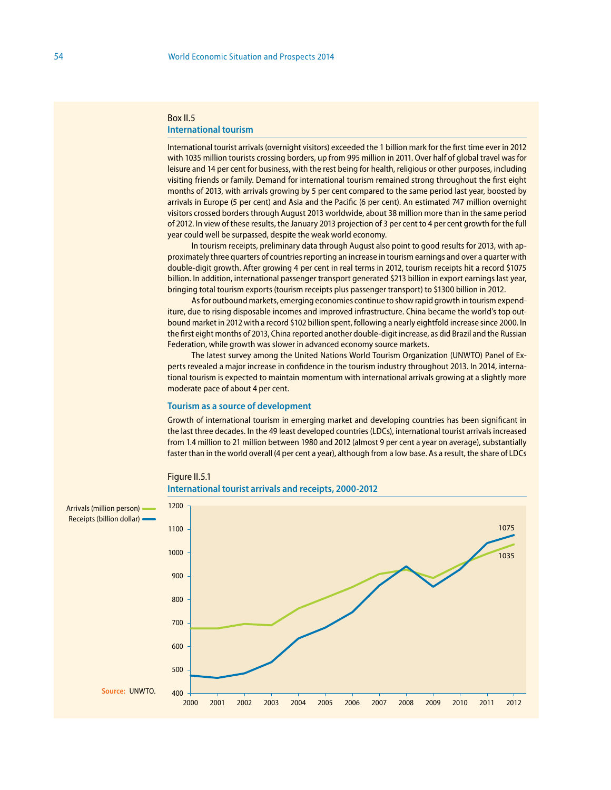#### Box II.5 **International tourism**

International tourist arrivals (overnight visitors) exceeded the 1 billion mark for the first time ever in 2012 with 1035 million tourists crossing borders, up from 995 million in 2011. Over half of global travel was for leisure and 14 per cent for business, with the rest being for health, religious or other purposes, including visiting friends or family. Demand for international tourism remained strong throughout the first eight months of 2013, with arrivals growing by 5 per cent compared to the same period last year, boosted by arrivals in Europe (5 per cent) and Asia and the Pacific (6 per cent). An estimated 747 million overnight visitors crossed borders through August 2013 worldwide, about 38 million more than in the same period of 2012. In view of these results, the January 2013 projection of 3 per cent to 4 per cent growth for the full year could well be surpassed, despite the weak world economy.

In tourism receipts, preliminary data through August also point to good results for 2013, with approximately three quarters of countries reporting an increase in tourism earnings and over a quarter with double-digit growth. After growing 4 per cent in real terms in 2012, tourism receipts hit a record \$1075 billion. In addition, international passenger transport generated \$213 billion in export earnings last year, bringing total tourism exports (tourism receipts plus passenger transport) to \$1300 billion in 2012.

As for outbound markets, emerging economies continue to show rapid growth in tourism expenditure, due to rising disposable incomes and improved infrastructure. China became the world's top outbound market in 2012 with a record \$102 billion spent, following a nearly eightfold increase since 2000. In the first eight months of 2013, China reported another double-digit increase, as did Brazil and the Russian Federation, while growth was slower in advanced economy source markets.

The latest survey among the United Nations World Tourism Organization (UNWTO) Panel of Experts revealed a major increase in confidence in the tourism industry throughout 2013. In 2014, international tourism is expected to maintain momentum with international arrivals growing at a slightly more moderate pace of about 4 per cent.

#### **Tourism as a source of development**

Growth of international tourism in emerging market and developing countries has been significant in the last three decades. In the 49 least developed countries (LDCs), international tourist arrivals increased from 1.4 million to 21 million between 1980 and 2012 (almost 9 per cent a year on average), substantially faster than in the world overall (4 per cent a year), although from a low base. As a result, the share of LDCs



#### Figure II.5.1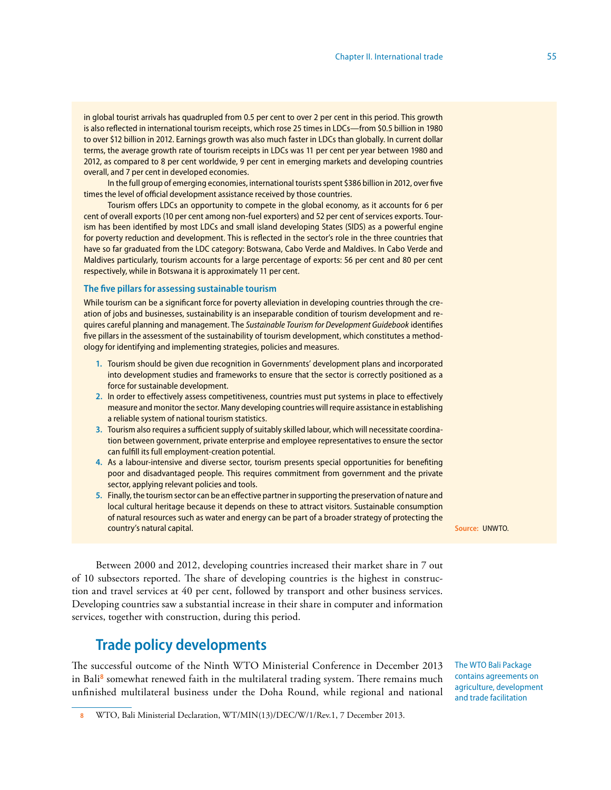in global tourist arrivals has quadrupled from 0.5 per cent to over 2 per cent in this period. This growth is also reflected in international tourism receipts, which rose 25 times in LDCs—from \$0.5 billion in 1980 to over \$12 billion in 2012. Earnings growth was also much faster in LDCs than globally. In current dollar terms, the average growth rate of tourism receipts in LDCs was 11 per cent per year between 1980 and 2012, as compared to 8 per cent worldwide, 9 per cent in emerging markets and developing countries overall, and 7 per cent in developed economies.

In the full group of emerging economies, international tourists spent \$386 billion in 2012, over five times the level of official development assistance received by those countries.

Tourism offers LDCs an opportunity to compete in the global economy, as it accounts for 6 per cent of overall exports (10 per cent among non-fuel exporters) and 52 per cent of services exports. Tourism has been identified by most LDCs and small island developing States (SIDS) as a powerful engine for poverty reduction and development. This is reflected in the sector's role in the three countries that have so far graduated from the LDC category: Botswana, Cabo Verde and Maldives. In Cabo Verde and Maldives particularly, tourism accounts for a large percentage of exports: 56 per cent and 80 per cent respectively, while in Botswana it is approximately 11 per cent.

#### **The five pillars for assessing sustainable tourism**

While tourism can be a significant force for poverty alleviation in developing countries through the creation of jobs and businesses, sustainability is an inseparable condition of tourism development and requires careful planning and management. The *Sustainable Tourism for Development Guidebook* identifies five pillars in the assessment of the sustainability of tourism development, which constitutes a methodology for identifying and implementing strategies, policies and measures.

- **1.** Tourism should be given due recognition in Governments' development plans and incorporated into development studies and frameworks to ensure that the sector is correctly positioned as a force for sustainable development.
- **2.** In order to effectively assess competitiveness, countries must put systems in place to effectively measure and monitor the sector. Many developing countries will require assistance in establishing a reliable system of national tourism statistics.
- **3.** Tourism also requires a sufficient supply of suitably skilled labour, which will necessitate coordination between government, private enterprise and employee representatives to ensure the sector can fulfill its full employment-creation potential.
- **4.** As a labour-intensive and diverse sector, tourism presents special opportunities for benefiting poor and disadvantaged people. This requires commitment from government and the private sector, applying relevant policies and tools.
- **5.** Finally, the tourism sector can be an effective partner in supporting the preservation of nature and local cultural heritage because it depends on these to attract visitors. Sustainable consumption of natural resources such as water and energy can be part of a broader strategy of protecting the country's natural capital. **Source:** UNWTO.

Between 2000 and 2012, developing countries increased their market share in 7 out of 10 subsectors reported. The share of developing countries is the highest in construction and travel services at 40 per cent, followed by transport and other business services. Developing countries saw a substantial increase in their share in computer and information services, together with construction, during this period.

# **Trade policy developments**

The successful outcome of the Ninth WTO Ministerial Conference in December 2013 in Bali**<sup>8</sup>** somewhat renewed faith in the multilateral trading system. There remains much unfinished multilateral business under the Doha Round, while regional and national

The WTO Bali Package contains agreements on agriculture, development and trade facilitation

**8** WTO, Bali Ministerial Declaration, WT/MIN(13)/DEC/W/1/Rev.1, 7 December 2013.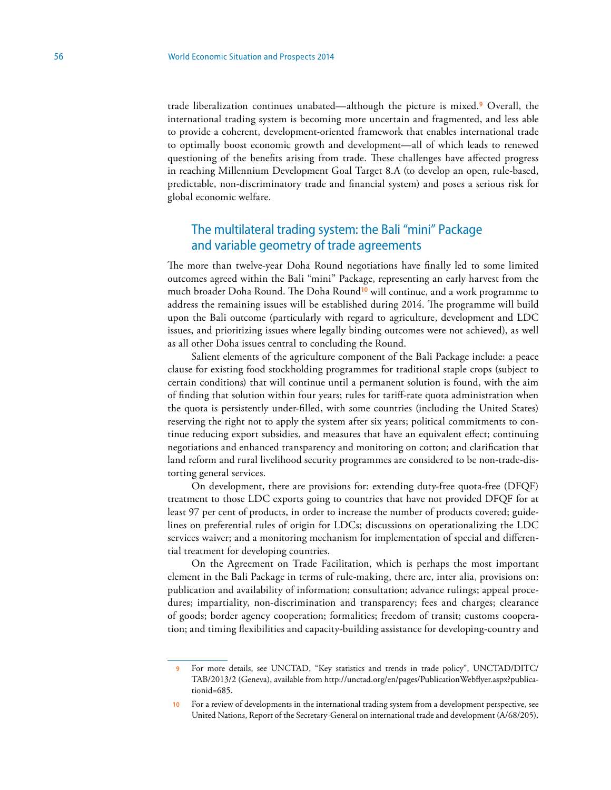trade liberalization continues unabated—although the picture is mixed.**<sup>9</sup>** Overall, the international trading system is becoming more uncertain and fragmented, and less able to provide a coherent, development-oriented framework that enables international trade to optimally boost economic growth and development—all of which leads to renewed questioning of the benefits arising from trade. These challenges have affected progress in reaching Millennium Development Goal Target 8.A (to develop an open, rule-based, predictable, non-discriminatory trade and financial system) and poses a serious risk for global economic welfare.

# The multilateral trading system: the Bali "mini" Package and variable geometry of trade agreements

The more than twelve-year Doha Round negotiations have finally led to some limited outcomes agreed within the Bali "mini" Package, representing an early harvest from the much broader Doha Round. The Doha Round**<sup>10</sup>** will continue, and a work programme to address the remaining issues will be established during 2014. The programme will build upon the Bali outcome (particularly with regard to agriculture, development and LDC issues, and prioritizing issues where legally binding outcomes were not achieved), as well as all other Doha issues central to concluding the Round.

Salient elements of the agriculture component of the Bali Package include: a peace clause for existing food stockholding programmes for traditional staple crops (subject to certain conditions) that will continue until a permanent solution is found, with the aim of finding that solution within four years; rules for tariff-rate quota administration when the quota is persistently under-filled, with some countries (including the United States) reserving the right not to apply the system after six years; political commitments to continue reducing export subsidies, and measures that have an equivalent effect; continuing negotiations and enhanced transparency and monitoring on cotton; and clarification that land reform and rural livelihood security programmes are considered to be non-trade-distorting general services.

On development, there are provisions for: extending duty-free quota-free (DFQF) treatment to those LDC exports going to countries that have not provided DFQF for at least 97 per cent of products, in order to increase the number of products covered; guidelines on preferential rules of origin for LDCs; discussions on operationalizing the LDC services waiver; and a monitoring mechanism for implementation of special and differential treatment for developing countries.

On the Agreement on Trade Facilitation, which is perhaps the most important element in the Bali Package in terms of rule-making, there are, inter alia, provisions on: publication and availability of information; consultation; advance rulings; appeal procedures; impartiality, non-discrimination and transparency; fees and charges; clearance of goods; border agency cooperation; formalities; freedom of transit; customs cooperation; and timing flexibilities and capacity-building assistance for developing-country and

**<sup>9</sup>** For more details, see UNCTAD, "Key statistics and trends in trade policy", UNCTAD/DITC/ TAB/2013/2 (Geneva), available from http://unctad.org/en/pages/PublicationWebflyer.aspx?publicationid=685.

**<sup>10</sup>** For a review of developments in the international trading system from a development perspective, see United Nations, Report of the Secretary-General on international trade and development (A/68/205).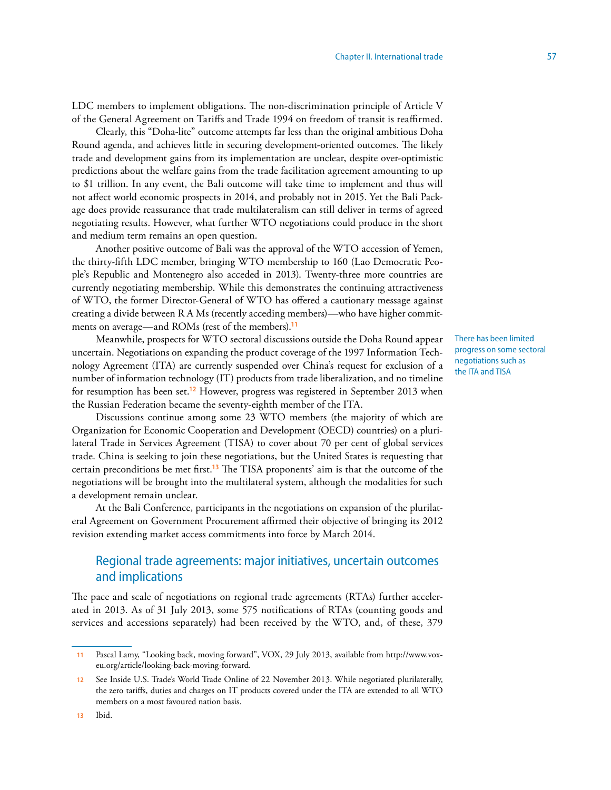LDC members to implement obligations. The non-discrimination principle of Article V of the General Agreement on Tariffs and Trade 1994 on freedom of transit is reaffirmed.

Clearly, this "Doha-lite" outcome attempts far less than the original ambitious Doha Round agenda, and achieves little in securing development-oriented outcomes. The likely trade and development gains from its implementation are unclear, despite over-optimistic predictions about the welfare gains from the trade facilitation agreement amounting to up to \$1 trillion. In any event, the Bali outcome will take time to implement and thus will not affect world economic prospects in 2014, and probably not in 2015. Yet the Bali Package does provide reassurance that trade multilateralism can still deliver in terms of agreed negotiating results. However, what further WTO negotiations could produce in the short and medium term remains an open question.

Another positive outcome of Bali was the approval of the WTO accession of Yemen, the thirty-fifth LDC member, bringing WTO membership to 160 (Lao Democratic People's Republic and Montenegro also acceded in 2013). Twenty-three more countries are currently negotiating membership. While this demonstrates the continuing attractiveness of WTO, the former Director-General of WTO has offered a cautionary message against creating a divide between R A Ms (recently acceding members)—who have higher commitments on average—and ROMs (rest of the members).**<sup>11</sup>**

Meanwhile, prospects for WTO sectoral discussions outside the Doha Round appear uncertain. Negotiations on expanding the product coverage of the 1997 Information Technology Agreement (ITA) are currently suspended over China's request for exclusion of a number of information technology (IT) products from trade liberalization, and no timeline for resumption has been set.**<sup>12</sup>** However, progress was registered in September 2013 when the Russian Federation became the seventy-eighth member of the ITA.

Discussions continue among some 23 WTO members (the majority of which are Organization for Economic Cooperation and Development (OECD) countries) on a plurilateral Trade in Services Agreement (TISA) to cover about 70 per cent of global services trade. China is seeking to join these negotiations, but the United States is requesting that certain preconditions be met first.**<sup>13</sup>** The TISA proponents' aim is that the outcome of the negotiations will be brought into the multilateral system, although the modalities for such a development remain unclear.

At the Bali Conference, participants in the negotiations on expansion of the plurilateral Agreement on Government Procurement affirmed their objective of bringing its 2012 revision extending market access commitments into force by March 2014.

# Regional trade agreements: major initiatives, uncertain outcomes and implications

The pace and scale of negotiations on regional trade agreements (RTAs) further accelerated in 2013. As of 31 July 2013, some 575 notifications of RTAs (counting goods and services and accessions separately) had been received by the WTO, and, of these, 379 There has been limited progress on some sectoral negotiations such as the ITA and TISA

**<sup>11</sup>** Pascal Lamy, "Looking back, moving forward", VOX, 29 July 2013, available from http://www.voxeu.org/article/looking-back-moving-forward.

**<sup>12</sup>** See Inside U.S. Trade's World Trade Online of 22 November 2013. While negotiated plurilaterally, the zero tariffs, duties and charges on IT products covered under the ITA are extended to all WTO members on a most favoured nation basis.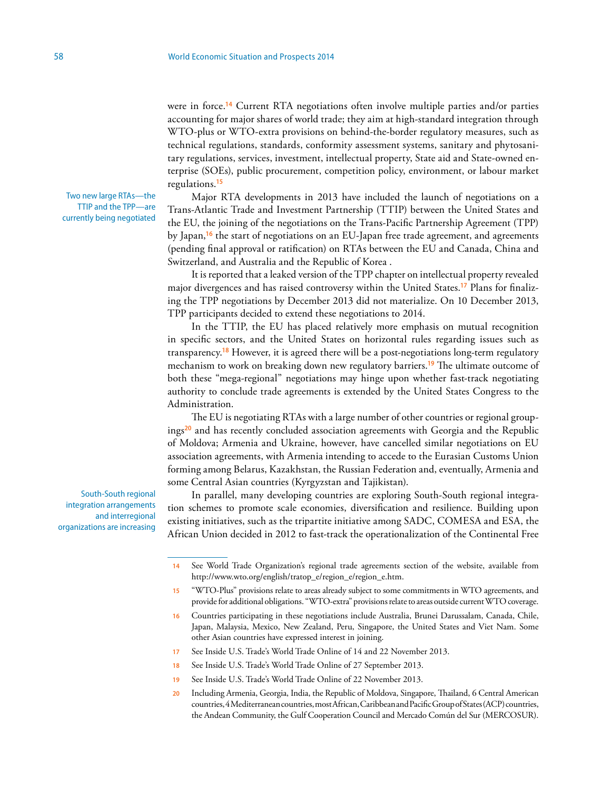were in force.**<sup>14</sup>** Current RTA negotiations often involve multiple parties and/or parties accounting for major shares of world trade; they aim at high-standard integration through WTO-plus or WTO-extra provisions on behind-the-border regulatory measures, such as technical regulations, standards, conformity assessment systems, sanitary and phytosanitary regulations, services, investment, intellectual property, State aid and State-owned enterprise (SOEs), public procurement, competition policy, environment, or labour market regulations.**<sup>15</sup>**

Major RTA developments in 2013 have included the launch of negotiations on a Trans-Atlantic Trade and Investment Partnership (TTIP) between the United States and the EU, the joining of the negotiations on the Trans-Pacific Partnership Agreement (TPP) by Japan,**<sup>16</sup>** the start of negotiations on an EU-Japan free trade agreement, and agreements (pending final approval or ratification) on RTAs between the EU and Canada, China and Switzerland, and Australia and the Republic of Korea .

It is reported that a leaked version of the TPP chapter on intellectual property revealed major divergences and has raised controversy within the United States.**17** Plans for finalizing the TPP negotiations by December 2013 did not materialize. On 10 December 2013, TPP participants decided to extend these negotiations to 2014.

In the TTIP, the EU has placed relatively more emphasis on mutual recognition in specific sectors, and the United States on horizontal rules regarding issues such as transparency.**<sup>18</sup>** However, it is agreed there will be a post-negotiations long-term regulatory mechanism to work on breaking down new regulatory barriers.**<sup>19</sup>** The ultimate outcome of both these "mega-regional" negotiations may hinge upon whether fast-track negotiating authority to conclude trade agreements is extended by the United States Congress to the Administration.

The EU is negotiating RTAs with a large number of other countries or regional groupings**<sup>20</sup>** and has recently concluded association agreements with Georgia and the Republic of Moldova; Armenia and Ukraine, however, have cancelled similar negotiations on EU association agreements, with Armenia intending to accede to the Eurasian Customs Union forming among Belarus, Kazakhstan, the Russian Federation and, eventually, Armenia and some Central Asian countries (Kyrgyzstan and Tajikistan).

In parallel, many developing countries are exploring South-South regional integration schemes to promote scale economies, diversification and resilience. Building upon existing initiatives, such as the tripartite initiative among SADC, COMESA and ESA, the African Union decided in 2012 to fast-track the operationalization of the Continental Free

- **17** See Inside U.S. Trade's World Trade Online of 14 and 22 November 2013.
- **18** See Inside U.S. Trade's World Trade Online of 27 September 2013.
- **19** See Inside U.S. Trade's World Trade Online of 22 November 2013.
- **20** Including Armenia, Georgia, India, the Republic of Moldova, Singapore, Thailand, 6 Central American countries, 4 Mediterranean countries, most African, Caribbean and Pacific Group of States (ACP) countries, the Andean Community, the Gulf Cooperation Council and Mercado Común del Sur (MERCOSUR).

Two new large RTAs—the TTIP and the TPP—are currently being negotiated

South-South regional integration arrangements and interregional organizations are increasing

**<sup>14</sup>** See World Trade Organization's regional trade agreements section of the website, available from http://www.wto.org/english/tratop\_e/region\_e/region\_e.htm.

**<sup>15</sup>** "WTO-Plus" provisions relate to areas already subject to some commitments in WTO agreements, and provide for additional obligations. "WTO-extra" provisions relate to areas outside current WTO coverage.

**<sup>16</sup>** Countries participating in these negotiations include Australia, Brunei Darussalam, Canada, Chile, Japan, Malaysia, Mexico, New Zealand, Peru, Singapore, the United States and Viet Nam. Some other Asian countries have expressed interest in joining.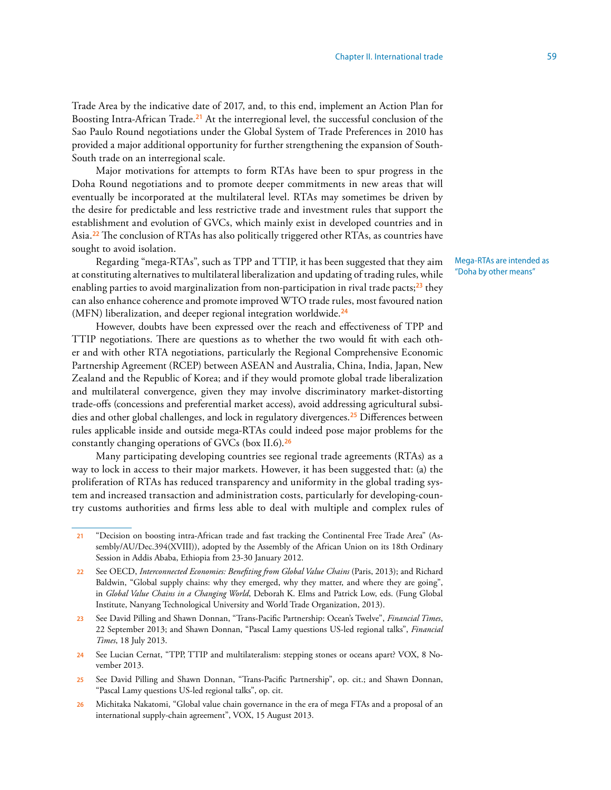Trade Area by the indicative date of 2017, and, to this end, implement an Action Plan for Boosting Intra-African Trade.**<sup>21</sup>** At the interregional level, the successful conclusion of the Sao Paulo Round negotiations under the Global System of Trade Preferences in 2010 has provided a major additional opportunity for further strengthening the expansion of South-South trade on an interregional scale.

Major motivations for attempts to form RTAs have been to spur progress in the Doha Round negotiations and to promote deeper commitments in new areas that will eventually be incorporated at the multilateral level. RTAs may sometimes be driven by the desire for predictable and less restrictive trade and investment rules that support the establishment and evolution of GVCs, which mainly exist in developed countries and in Asia.**<sup>22</sup>** The conclusion of RTAs has also politically triggered other RTAs, as countries have sought to avoid isolation.

Regarding "mega-RTAs", such as TPP and TTIP, it has been suggested that they aim at constituting alternatives to multilateral liberalization and updating of trading rules, while enabling parties to avoid marginalization from non-participation in rival trade pacts;**<sup>23</sup>** they can also enhance coherence and promote improved WTO trade rules, most favoured nation (MFN) liberalization, and deeper regional integration worldwide.**<sup>24</sup>**

However, doubts have been expressed over the reach and effectiveness of TPP and TTIP negotiations. There are questions as to whether the two would fit with each other and with other RTA negotiations, particularly the Regional Comprehensive Economic Partnership Agreement (RCEP) between ASEAN and Australia, China, India, Japan, New Zealand and the Republic of Korea; and if they would promote global trade liberalization and multilateral convergence, given they may involve discriminatory market-distorting trade-offs (concessions and preferential market access), avoid addressing agricultural subsidies and other global challenges, and lock in regulatory divergences.**<sup>25</sup>** Differences between rules applicable inside and outside mega-RTAs could indeed pose major problems for the constantly changing operations of GVCs (box II.6).**<sup>26</sup>**

Many participating developing countries see regional trade agreements (RTAs) as a way to lock in access to their major markets. However, it has been suggested that: (a) the proliferation of RTAs has reduced transparency and uniformity in the global trading system and increased transaction and administration costs, particularly for developing-country customs authorities and firms less able to deal with multiple and complex rules of

Mega-RTAs are intended as "Doha by other means"

**<sup>21</sup>** "Decision on boosting intra-African trade and fast tracking the Continental Free Trade Area" (Assembly/AU/Dec.394(XVIII)), adopted by the Assembly of the African Union on its 18th Ordinary Session in Addis Ababa, Ethiopia from 23-30 January 2012.

**<sup>22</sup>** See OECD, *Interconnected Economies: Benefiting from Global Value Chains* (Paris, 2013); and Richard Baldwin, "Global supply chains: why they emerged, why they matter, and where they are going", in *Global Value Chains in a Changing World*, Deborah K. Elms and Patrick Low, eds. (Fung Global Institute, Nanyang Technological University and World Trade Organization, 2013).

**<sup>23</sup>** See David Pilling and Shawn Donnan, "Trans-Pacific Partnership: Ocean's Twelve", *Financial Times*, 22 September 2013; and Shawn Donnan, "Pascal Lamy questions US-led regional talks", *Financial Times*, 18 July 2013.

**<sup>24</sup>** See Lucian Cernat, "TPP, TTIP and multilateralism: stepping stones or oceans apart? VOX, 8 November 2013.

**<sup>25</sup>** See David Pilling and Shawn Donnan, "Trans-Pacific Partnership", op. cit.; and Shawn Donnan, "Pascal Lamy questions US-led regional talks", op. cit.

**<sup>26</sup>** Michitaka Nakatomi, "Global value chain governance in the era of mega FTAs and a proposal of an international supply-chain agreement", VOX, 15 August 2013.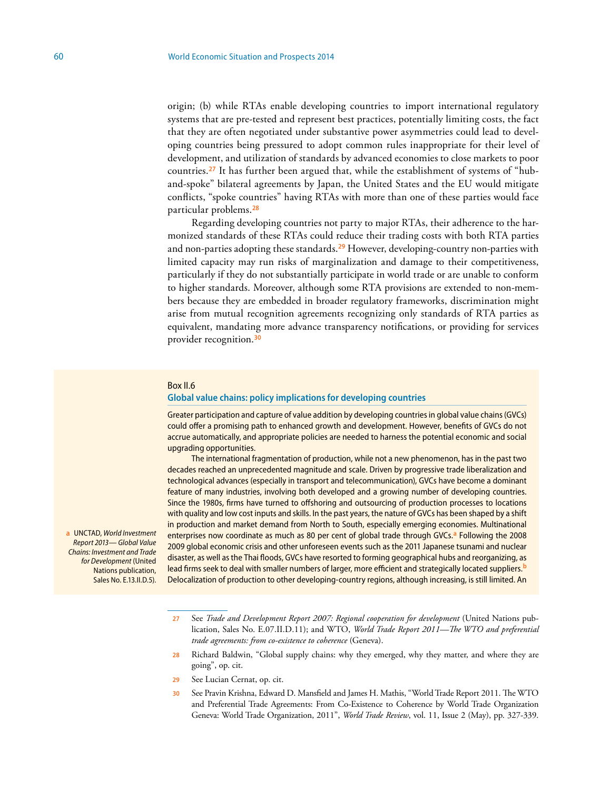origin; (b) while RTAs enable developing countries to import international regulatory systems that are pre-tested and represent best practices, potentially limiting costs, the fact that they are often negotiated under substantive power asymmetries could lead to developing countries being pressured to adopt common rules inappropriate for their level of development, and utilization of standards by advanced economies to close markets to poor countries.**27** It has further been argued that, while the establishment of systems of "huband-spoke" bilateral agreements by Japan, the United States and the EU would mitigate conflicts, "spoke countries" having RTAs with more than one of these parties would face particular problems.**<sup>28</sup>**

Regarding developing countries not party to major RTAs, their adherence to the harmonized standards of these RTAs could reduce their trading costs with both RTA parties and non-parties adopting these standards.**<sup>29</sup>** However, developing-country non-parties with limited capacity may run risks of marginalization and damage to their competitiveness, particularly if they do not substantially participate in world trade or are unable to conform to higher standards. Moreover, although some RTA provisions are extended to non-members because they are embedded in broader regulatory frameworks, discrimination might arise from mutual recognition agreements recognizing only standards of RTA parties as equivalent, mandating more advance transparency notifications, or providing for services provider recognition.**<sup>30</sup>**

#### Box II.6

#### **Global value chains: policy implications for developing countries**

Greater participation and capture of value addition by developing countries in global value chains (GVCs) could offer a promising path to enhanced growth and development. However, benefits of GVCs do not accrue automatically, and appropriate policies are needed to harness the potential economic and social upgrading opportunities.

The international fragmentation of production, while not a new phenomenon, has in the past two decades reached an unprecedented magnitude and scale. Driven by progressive trade liberalization and technological advances (especially in transport and telecommunication), GVCs have become a dominant feature of many industries, involving both developed and a growing number of developing countries. Since the 1980s, firms have turned to offshoring and outsourcing of production processes to locations with quality and low cost inputs and skills. In the past years, the nature of GVCs has been shaped by a shift in production and market demand from North to South, especially emerging economies. Multinational enterprises now coordinate as much as 80 per cent of global trade through GVCs.**a** Following the 2008 2009 global economic crisis and other unforeseen events such as the 2011 Japanese tsunami and nuclear disaster, as well as the Thai floods, GVCs have resorted to forming geographical hubs and reorganizing, as lead firms seek to deal with smaller numbers of larger, more efficient and strategically located suppliers.**<sup>b</sup>** Delocalization of production to other developing-country regions, although increasing, is still limited. An

**a** UNCTAD, *World Investment Report 2013— Global Value Chains: Investment and Trade for Development* (United Nations publication, Sales No. E.13.II.D.5).

- **27** See *Trade and Development Report 2007: Regional cooperation for development* (United Nations publication, Sales No. E.07.II.D.11); and WTO, *World Trade Report 2011—The WTO and preferential trade agreements: from co-existence to coherence* (Geneva).
- **28** Richard Baldwin, "Global supply chains: why they emerged, why they matter, and where they are going", op. cit.
- **29** See Lucian Cernat, op. cit.
- **30** See Pravin Krishna, Edward D. Mansfield and James H. Mathis, "World Trade Report 2011. The WTO and Preferential Trade Agreements: From Co-Existence to Coherence by World Trade Organization Geneva: World Trade Organization, 2011", *World Trade Review*, vol. 11, Issue 2 (May), pp. 327-339.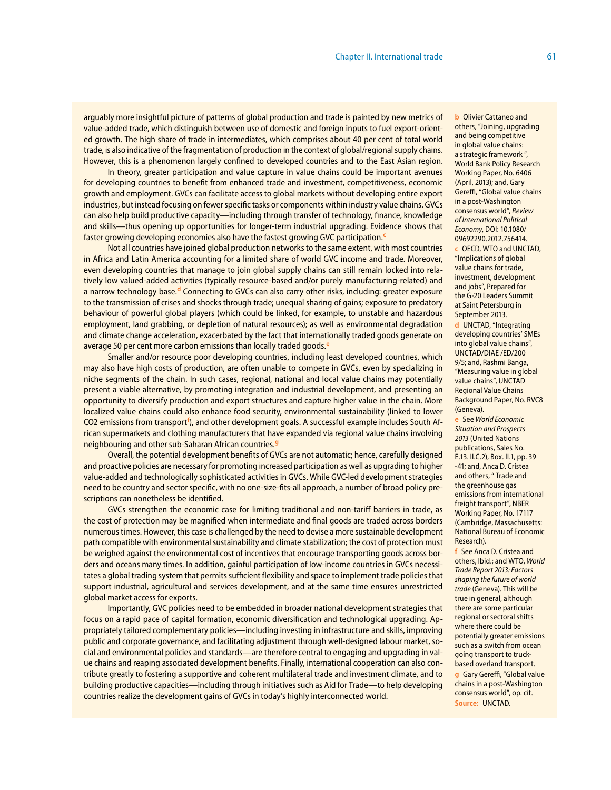arguably more insightful picture of patterns of global production and trade is painted by new metrics of value-added trade, which distinguish between use of domestic and foreign inputs to fuel export-oriented growth. The high share of trade in intermediates, which comprises about 40 per cent of total world trade, is also indicative of the fragmentation of production in the context of global/regional supply chains. However, this is a phenomenon largely confined to developed countries and to the East Asian region.

In theory, greater participation and value capture in value chains could be important avenues for developing countries to benefit from enhanced trade and investment, competitiveness, economic growth and employment. GVCs can facilitate access to global markets without developing entire export industries, but instead focusing on fewer specific tasks or components within industry value chains. GVCs can also help build productive capacity—including through transfer of technology, finance, knowledge and skills—thus opening up opportunities for longer-term industrial upgrading. Evidence shows that faster growing developing economies also have the fastest growing GVC participation.**<sup>c</sup>**

Not all countries have joined global production networks to the same extent, with most countries in Africa and Latin America accounting for a limited share of world GVC income and trade. Moreover, even developing countries that manage to join global supply chains can still remain locked into relatively low valued-added activities (typically resource-based and/or purely manufacturing-related) and a narrow technology base.**d** Connecting to GVCs can also carry other risks, including: greater exposure to the transmission of crises and shocks through trade; unequal sharing of gains; exposure to predatory behaviour of powerful global players (which could be linked, for example, to unstable and hazardous employment, land grabbing, or depletion of natural resources); as well as environmental degradation and climate change acceleration, exacerbated by the fact that internationally traded goods generate on average 50 per cent more carbon emissions than locally traded goods.**<sup>e</sup>**

Smaller and/or resource poor developing countries, including least developed countries, which may also have high costs of production, are often unable to compete in GVCs, even by specializing in niche segments of the chain. In such cases, regional, national and local value chains may potentially present a viable alternative, by promoting integration and industrial development, and presenting an opportunity to diversify production and export structures and capture higher value in the chain. More localized value chains could also enhance food security, environmental sustainability (linked to lower CO2 emissions from transport**<sup>f</sup>** ), and other development goals. A successful example includes South African supermarkets and clothing manufacturers that have expanded via regional value chains involving neighbouring and other sub-Saharan African countries.**<sup>g</sup>**

Overall, the potential development benefits of GVCs are not automatic; hence, carefully designed and proactive policies are necessary for promoting increased participation as well as upgrading to higher value-added and technologically sophisticated activities in GVCs. While GVC-led development strategies need to be country and sector specific, with no one-size-fits-all approach, a number of broad policy prescriptions can nonetheless be identified.

GVCs strengthen the economic case for limiting traditional and non-tariff barriers in trade, as the cost of protection may be magnified when intermediate and final goods are traded across borders numerous times. However, this case is challenged by the need to devise a more sustainable development path compatible with environmental sustainability and climate stabilization; the cost of protection must be weighed against the environmental cost of incentives that encourage transporting goods across borders and oceans many times. In addition, gainful participation of low-income countries in GVCs necessitates a global trading system that permits sufficient flexibility and space to implement trade policies that support industrial, agricultural and services development, and at the same time ensures unrestricted global market access for exports.

Importantly, GVC policies need to be embedded in broader national development strategies that focus on a rapid pace of capital formation, economic diversification and technological upgrading. Appropriately tailored complementary policies—including investing in infrastructure and skills, improving public and corporate governance, and facilitating adjustment through well-designed labour market, social and environmental policies and standards—are therefore central to engaging and upgrading in value chains and reaping associated development benefits. Finally, international cooperation can also contribute greatly to fostering a supportive and coherent multilateral trade and investment climate, and to building productive capacities—including through initiatives such as Aid for Trade—to help developing countries realize the development gains of GVCs in today's highly interconnected world.

**b** Olivier Cattaneo and others, "Joining, upgrading and being competitive in global value chains: a strategic framework ", World Bank Policy Research Working Paper, No. 6406 (April, 2013); and, Gary Gereffi, "Global value chains in a post-Washington consensus world", *Review of International Political Economy*, DOI: 10.1080/ 09692290.2012.756414. **c** OECD, WTO and UNCTAD, "Implications of global value chains for trade, investment, development and jobs", Prepared for

the G-20 Leaders Summit at Saint Petersburg in September 2013. **d** UNCTAD, "Integrating developing countries' SMEs into global value chains", UNCTAD/DIAE /ED/200 9/5; and, Rashmi Banga, "Measuring value in global value chains", UNCTAD Regional Value Chains Background Paper, No. RVC8 (Geneva). **e** See *World Economic* 

*Situation and Prospects 2013* (United Nations publications, Sales No. E.13. II.C.2), Box. II.1, pp. 39 -41; and, Anca D. Cristea and others, " Trade and the greenhouse gas emissions from international freight transport", NBER Working Paper, No. 17117 (Cambridge, Massachusetts: National Bureau of Economic Research).

**f** See Anca D. Cristea and others, Ibid.; and WTO, *World Trade Report 2013: Factors shaping the future of world trade* (Geneva). This will be true in general, although there are some particular regional or sectoral shifts where there could be potentially greater emissions such as a switch from ocean going transport to truckbased overland transport. **g** Gary Gereffi, "Global value chains in a post-Washington consensus world", op. cit. **Source:** UNCTAD.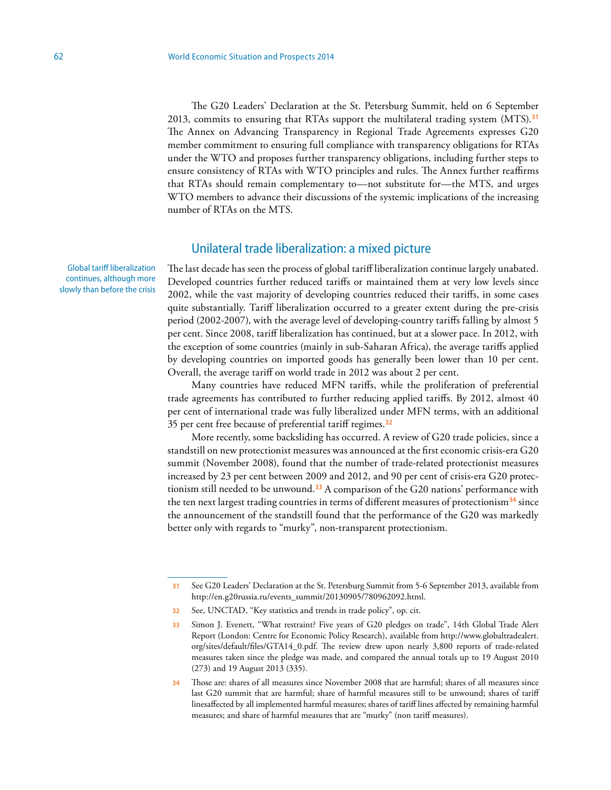The G20 Leaders' Declaration at the St. Petersburg Summit, held on 6 September 2013, commits to ensuring that RTAs support the multilateral trading system (MTS).**<sup>31</sup>** The Annex on Advancing Transparency in Regional Trade Agreements expresses G20 member commitment to ensuring full compliance with transparency obligations for RTAs under the WTO and proposes further transparency obligations, including further steps to ensure consistency of RTAs with WTO principles and rules. The Annex further reaffirms that RTAs should remain complementary to—not substitute for—the MTS, and urges WTO members to advance their discussions of the systemic implications of the increasing number of RTAs on the MTS.

# Unilateral trade liberalization: a mixed picture

The last decade has seen the process of global tariff liberalization continue largely unabated. Developed countries further reduced tariffs or maintained them at very low levels since 2002, while the vast majority of developing countries reduced their tariffs, in some cases quite substantially. Tariff liberalization occurred to a greater extent during the pre-crisis period (2002-2007), with the average level of developing-country tariffs falling by almost 5 per cent. Since 2008, tariff liberalization has continued, but at a slower pace. In 2012, with the exception of some countries (mainly in sub-Saharan Africa), the average tariffs applied by developing countries on imported goods has generally been lower than 10 per cent. Overall, the average tariff on world trade in 2012 was about 2 per cent.

Many countries have reduced MFN tariffs, while the proliferation of preferential trade agreements has contributed to further reducing applied tariffs. By 2012, almost 40 per cent of international trade was fully liberalized under MFN terms, with an additional 35 per cent free because of preferential tariff regimes.**<sup>32</sup>**

More recently, some backsliding has occurred. A review of G20 trade policies, since a standstill on new protectionist measures was announced at the first economic crisis-era G20 summit (November 2008), found that the number of trade-related protectionist measures increased by 23 per cent between 2009 and 2012, and 90 per cent of crisis-era G20 protectionism still needed to be unwound.**<sup>33</sup>** A comparison of the G20 nations' performance with the ten next largest trading countries in terms of different measures of protectionism**<sup>34</sup>** since the announcement of the standstill found that the performance of the G20 was markedly better only with regards to "murky", non-transparent protectionism.

Global tariff liberalization continues, although more slowly than before the crisis

**<sup>31</sup>** See G20 Leaders' Declaration at the St. Petersburg Summit from 5-6 September 2013, available from http://en.g20russia.ru/events\_summit/20130905/780962092.html.

**<sup>32</sup>** See, UNCTAD, "Key statistics and trends in trade policy", op. cit.

**<sup>33</sup>** Simon J. Evenett, "What restraint? Five years of G20 pledges on trade", 14th Global Trade Alert Report (London: Centre for Economic Policy Research), available from http://www.globaltradealert. org/sites/default/files/GTA14\_0.pdf. The review drew upon nearly 3,800 reports of trade-related measures taken since the pledge was made, and compared the annual totals up to 19 August 2010 (273) and 19 August 2013 (335).

**<sup>34</sup>** Those are: shares of all measures since November 2008 that are harmful; shares of all measures since last G20 summit that are harmful; share of harmful measures still to be unwound; shares of tariff linesaffected by all implemented harmful measures; shares of tariff lines affected by remaining harmful measures; and share of harmful measures that are "murky" (non tariff measures).